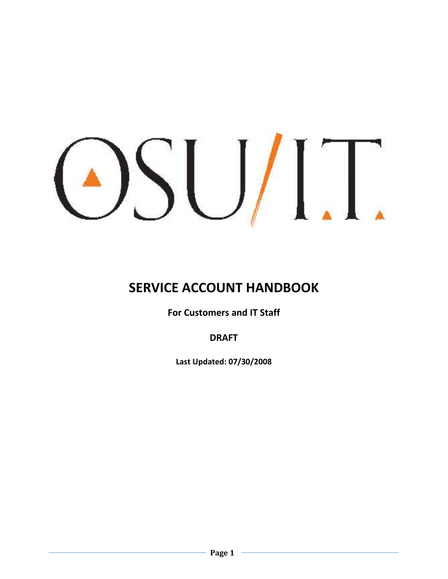# $\frac{1}{2}$

# **SERVICE ACCOUNT HANDBOOK**

**For Customers and IT Staff**

**DRAFT**

**Last Updated: 07/30/2008**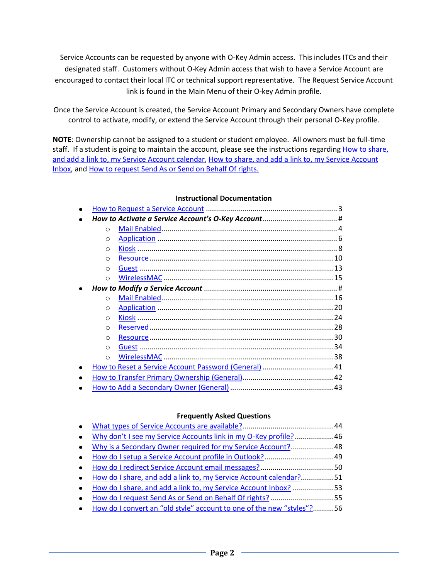<span id="page-1-0"></span>Service Accounts can be requested by anyone with O-Key Admin access. This includes ITCs and their designated staff. Customers without O-Key Admin access that wish to have a Service Account are encouraged to contact their local ITC or technical support representative. The Request Service Account link is found in the Main Menu of their O-key Admin profile.

Once the Service Account is created, the Service Account Primary and Secondary Owners have complete control to activate, modify, or extend the Service Account through their personal O-Key profile.

**NOTE**: Ownership cannot be assigned to a student or student employee. All owners must be full-time staff. If a student is going to maintain the account, please see the instructions regarding How to share, [and add a link to, my Service Account calendar,](#page-50-0) [How to share, and add a link to, my Service Account](Share_And_Link_SA_Inbox.docx)  [Inbox,](Share_And_Link_SA_Inbox.docx) an[d How to request Send As or Send on Behalf Of rights.](#page-54-0)

#### **Instructional Documentation**

| $\circ$    |                                                       |  |
|------------|-------------------------------------------------------|--|
| O          |                                                       |  |
| O          |                                                       |  |
| O          |                                                       |  |
| O          |                                                       |  |
| $\circ$    |                                                       |  |
|            |                                                       |  |
| $\Omega$   |                                                       |  |
| O          |                                                       |  |
| O          |                                                       |  |
| ∩          |                                                       |  |
| ∩          |                                                       |  |
| ∩          |                                                       |  |
| $\bigcirc$ |                                                       |  |
|            | How to Reset a Service Account Password (General)  41 |  |
|            |                                                       |  |
|            |                                                       |  |

#### **Frequently Asked Questions**

| $\bullet$ |                                                                         |  |
|-----------|-------------------------------------------------------------------------|--|
| $\bullet$ | Why don't I see my Service Accounts link in my O-Key profile? 46        |  |
| $\bullet$ | Why is a Secondary Owner required for my Service Account? 48            |  |
| $\bullet$ |                                                                         |  |
| $\bullet$ |                                                                         |  |
| $\bullet$ | How do I share, and add a link to, my Service Account calendar?51       |  |
| $\bullet$ | How do I share, and add a link to, my Service Account Inbox? 53         |  |
| $\bullet$ | How do I request Send As or Send on Behalf Of rights?55                 |  |
|           | • How do I convert an "old style" account to one of the new "styles"?56 |  |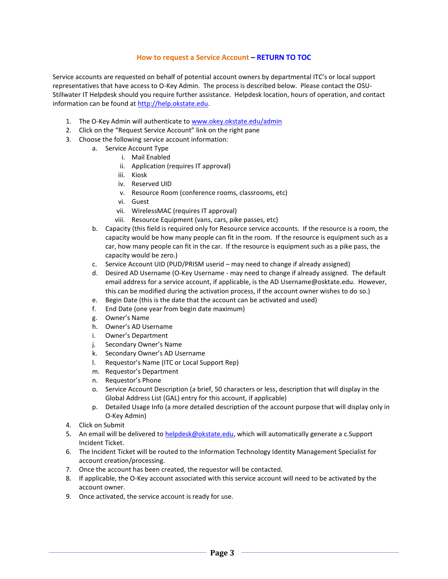#### **How to request a Service Account – [RETURN TO TOC](#page-1-0)**

<span id="page-2-0"></span>Service accounts are requested on behalf of potential account owners by departmental ITC's or local support representatives that have access to O-Key Admin. The process is described below. Please contact the OSU-Stillwater IT Helpdesk should you require further assistance. Helpdesk location, hours of operation, and contact information can be found a[t http://help.okstate.edu.](http://help.okstate.edu/)

- 1. The O-Key Admin will authenticate to [www.okey.okstate.edu/admin](http://www.okey.okstate.edu/admin)
- 2. Click on the "Request Service Account" link on the right pane
- 3. Choose the following service account information:
	- a. Service Account Type
		- i. Mail Enabled
		- ii. Application (requires IT approval)
		- iii. Kiosk
		- iv. Reserved UID
		- v. Resource Room (conference rooms, classrooms, etc)
		- vi. Guest
		- vii. WirelessMAC (requires IT approval)
		- viii. Resource Equipment (vans, cars, pike passes, etc)
	- b. Capacity (this field is required only for Resource service accounts. If the resource is a room, the capacity would be how many people can fit in the room. If the resource is equipment such as a car, how many people can fit in the car. If the resource is equipment such as a pike pass, the capacity would be zero.)
	- c. Service Account UID (PUD/PRISM userid may need to change if already assigned)
	- d. Desired AD Username (O-Key Username may need to change if already assigned. The default email address for a service account, if applicable, is the AD Username@osktate.edu. However, this can be modified during the activation process, if the account owner wishes to do so.)
	- e. Begin Date (this is the date that the account can be activated and used)
	- f. End Date (one year from begin date maximum)
	- g. Owner's Name
	- h. Owner's AD Username
	- i. Owner's Department
	- j. Secondary Owner's Name
	- k. Secondary Owner's AD Username
	- l. Requestor's Name (ITC or Local Support Rep)
	- m. Requestor's Department
	- n. Requestor's Phone
	- o. Service Account Description (a brief, 50 characters or less, description that will display in the Global Address List (GAL) entry for this account, if applicable)
	- p. Detailed Usage Info (a more detailed description of the account purpose that will display only in O-Key Admin)
- 4. Click on Submit
- 5. An email will be delivered to [helpdesk@okstate.edu,](mailto:helpdesk@okstate.edu) which will automatically generate a c.Support Incident Ticket.
- 6. The Incident Ticket will be routed to the Information Technology Identity Management Specialist for account creation/processing.
- 7. Once the account has been created, the requestor will be contacted.
- 8. If applicable, the O-Key account associated with this service account will need to be activated by the account owner.
- 9. Once activated, the service account is ready for use.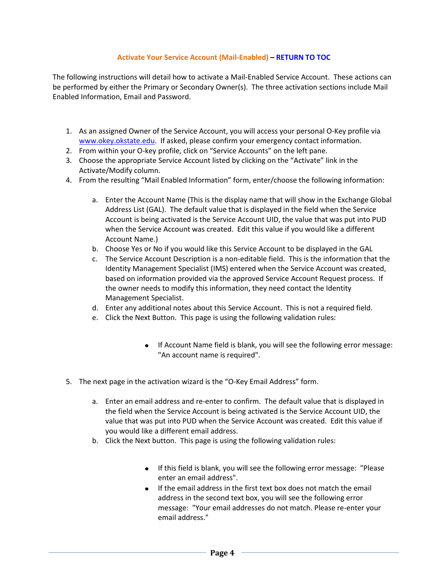# **Activate Your Service Account (Mail-Enabled) – [RETURN TO](#page-1-0) TOC**

<span id="page-3-0"></span>The following instructions will detail how to activate a Mail-Enabled Service Account. These actions can be performed by either the Primary or Secondary Owner(s). The three activation sections include Mail Enabled Information, Email and Password.

- 1. As an assigned Owner of the Service Account, you will access your personal O-Key profile via [www.okey.okstate.edu.](http://www.okey.okstate.edu/) If asked, please confirm your emergency contact information.
- 2. From within your O-key profile, click on "Service Accounts" on the left pane.
- 3. Choose the appropriate Service Account listed by clicking on the "Activate" link in the Activate/Modify column.
- 4. From the resulting "Mail Enabled Information" form, enter/choose the following information:
	- a. Enter the Account Name (This is the display name that will show in the Exchange Global Address List (GAL). The default value that is displayed in the field when the Service Account is being activated is the Service Account UID, the value that was put into PUD when the Service Account was created. Edit this value if you would like a different Account Name.)
	- b. Choose Yes or No if you would like this Service Account to be displayed in the GAL
	- c. The Service Account Description is a non-editable field. This is the information that the Identity Management Specialist (IMS) entered when the Service Account was created, based on information provided via the approved Service Account Request process. If the owner needs to modify this information, they need contact the Identity Management Specialist.
	- d. Enter any additional notes about this Service Account. This is not a required field.
	- e. Click the Next Button. This page is using the following validation rules:
		- If Account Name field is blank, you will see the following error message: "An account name is required".
- 5. The next page in the activation wizard is the "O-Key Email Address" form.
	- a. Enter an email address and re-enter to confirm. The default value that is displayed in the field when the Service Account is being activated is the Service Account UID, the value that was put into PUD when the Service Account was created. Edit this value if you would like a different email address.
	- b. Click the Next button. This page is using the following validation rules:
		- If this field is blank, you will see the following error message: "Please" enter an email address".
		- If the email address in the first text box does not match the email address in the second text box, you will see the following error message: "Your email addresses do not match. Please re-enter your email address."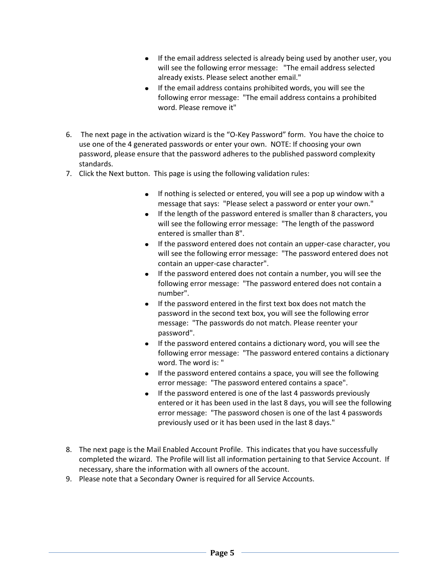- If the email address selected is already being used by another user, you will see the following error message: "The email address selected already exists. Please select another email."
- If the email address contains prohibited words, you will see the following error message: "The email address contains a prohibited word. Please remove it"
- 6. The next page in the activation wizard is the "O-Key Password" form. You have the choice to use one of the 4 generated passwords or enter your own. NOTE: If choosing your own password, please ensure that the password adheres to the published password complexity standards.
- 7. Click the Next button. This page is using the following validation rules:
	- If nothing is selected or entered, you will see a pop up window with a message that says: "Please select a password or enter your own."
	- If the length of the password entered is smaller than 8 characters, you will see the following error message: "The length of the password entered is smaller than 8".
	- If the password entered does not contain an upper-case character, you will see the following error message: "The password entered does not contain an upper-case character".
	- If the password entered does not contain a number, you will see the following error message: "The password entered does not contain a number".
	- If the password entered in the first text box does not match the password in the second text box, you will see the following error message: "The passwords do not match. Please reenter your password".
	- If the password entered contains a dictionary word, you will see the following error message: "The password entered contains a dictionary word. The word is: "
	- If the password entered contains a space, you will see the following error message: "The password entered contains a space".
	- $\bullet$  If the password entered is one of the last 4 passwords previously entered or it has been used in the last 8 days, you will see the following error message: "The password chosen is one of the last 4 passwords previously used or it has been used in the last 8 days."
- 8. The next page is the Mail Enabled Account Profile. This indicates that you have successfully completed the wizard. The Profile will list all information pertaining to that Service Account. If necessary, share the information with all owners of the account.
- 9. Please note that a Secondary Owner is required for all Service Accounts.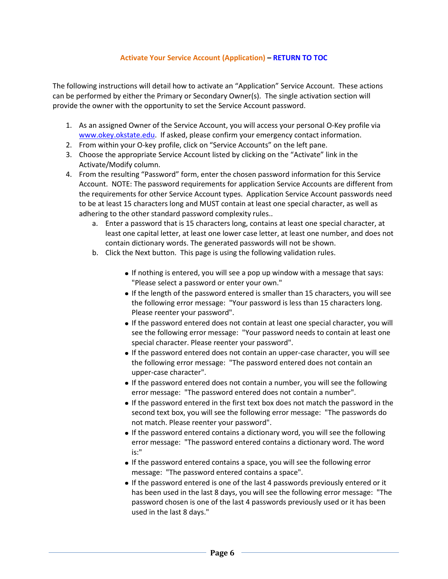#### **Activate Your Service Account (Application) – [RETURN TO](#page-1-0) TOC**

<span id="page-5-0"></span>The following instructions will detail how to activate an "Application" Service Account. These actions can be performed by either the Primary or Secondary Owner(s). The single activation section will provide the owner with the opportunity to set the Service Account password.

- 1. As an assigned Owner of the Service Account, you will access your personal O-Key profile via [www.okey.okstate.edu.](http://www.okey.okstate.edu/) If asked, please confirm your emergency contact information.
- 2. From within your O-key profile, click on "Service Accounts" on the left pane.
- 3. Choose the appropriate Service Account listed by clicking on the "Activate" link in the Activate/Modify column.
- 4. From the resulting "Password" form, enter the chosen password information for this Service Account. NOTE: The password requirements for application Service Accounts are different from the requirements for other Service Account types. Application Service Account passwords need to be at least 15 characters long and MUST contain at least one special character, as well as adhering to the other standard password complexity rules..
	- a. Enter a password that is 15 characters long, contains at least one special character, at least one capital letter, at least one lower case letter, at least one number, and does not contain dictionary words. The generated passwords will not be shown.
	- b. Click the Next button. This page is using the following validation rules.
		- If nothing is entered, you will see a pop up window with a message that says: "Please select a password or enter your own."
		- If the length of the password entered is smaller than 15 characters, you will see the following error message: "Your password is less than 15 characters long. Please reenter your password".
		- If the password entered does not contain at least one special character, you will see the following error message: "Your password needs to contain at least one special character. Please reenter your password".
		- If the password entered does not contain an upper-case character, you will see the following error message: "The password entered does not contain an upper-case character".
		- If the password entered does not contain a number, you will see the following error message: "The password entered does not contain a number".
		- If the password entered in the first text box does not match the password in the second text box, you will see the following error message: "The passwords do not match. Please reenter your password".
		- If the password entered contains a dictionary word, you will see the following error message: "The password entered contains a dictionary word. The word is:"
		- If the password entered contains a space, you will see the following error message: "The password entered contains a space".
		- If the password entered is one of the last 4 passwords previously entered or it has been used in the last 8 days, you will see the following error message: "The password chosen is one of the last 4 passwords previously used or it has been used in the last 8 days."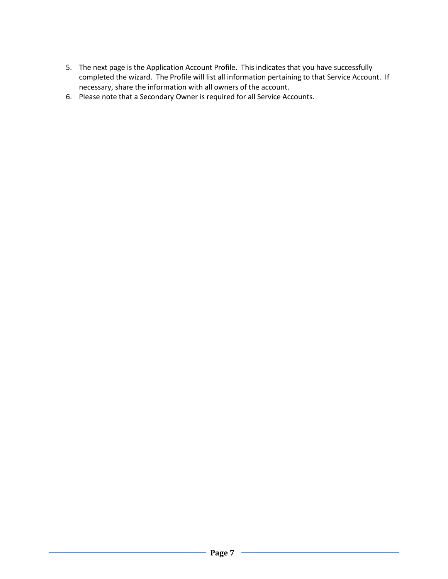- 5. The next page is the Application Account Profile. This indicates that you have successfully completed the wizard. The Profile will list all information pertaining to that Service Account. If necessary, share the information with all owners of the account.
- 6. Please note that a Secondary Owner is required for all Service Accounts.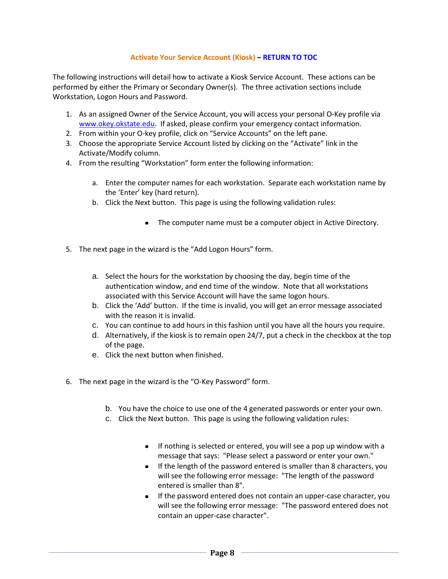# **Activate Your Service Account (Kiosk) – [RETURN TO](#page-1-0) TOC**

<span id="page-7-0"></span>The following instructions will detail how to activate a Kiosk Service Account. These actions can be performed by either the Primary or Secondary Owner(s). The three activation sections include Workstation, Logon Hours and Password.

- 1. As an assigned Owner of the Service Account, you will access your personal O-Key profile via [www.okey.okstate.edu.](http://www.okey.okstate.edu/) If asked, please confirm your emergency contact information.
- 2. From within your O-key profile, click on "Service Accounts" on the left pane.
- 3. Choose the appropriate Service Account listed by clicking on the "Activate" link in the Activate/Modify column.
- 4. From the resulting "Workstation" form enter the following information:
	- a. Enter the computer names for each workstation. Separate each workstation name by the 'Enter' key (hard return).
	- b. Click the Next button. This page is using the following validation rules:
		- The computer name must be a computer object in Active Directory.
- 5. The next page in the wizard is the "Add Logon Hours" form.
	- a. Select the hours for the workstation by choosing the day, begin time of the authentication window, and end time of the window. Note that all workstations associated with this Service Account will have the same logon hours.
	- b. Click the 'Add' button. If the time is invalid, you will get an error message associated with the reason it is invalid.
	- c. You can continue to add hours in this fashion until you have all the hours you require.
	- d. Alternatively, if the kiosk is to remain open 24/7, put a check in the checkbox at the top of the page.
	- e. Click the next button when finished.
- 6. The next page in the wizard is the "O-Key Password" form.
	- b. You have the choice to use one of the 4 generated passwords or enter your own.
	- c. Click the Next button. This page is using the following validation rules:
		- If nothing is selected or entered, you will see a pop up window with a message that says: "Please select a password or enter your own."
		- If the length of the password entered is smaller than 8 characters, you will see the following error message: "The length of the password entered is smaller than 8".
		- If the password entered does not contain an upper-case character, you will see the following error message: "The password entered does not contain an upper-case character".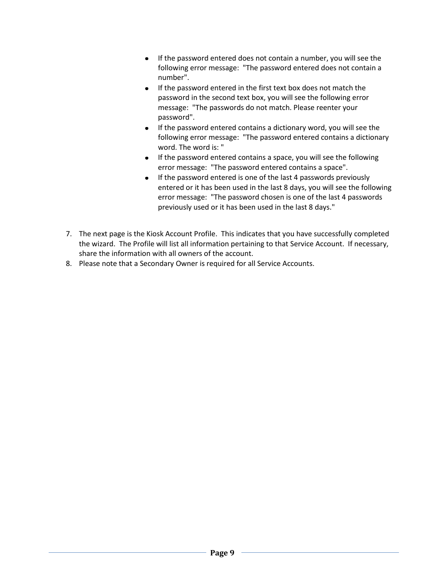- If the password entered does not contain a number, you will see the following error message: "The password entered does not contain a number".
- If the password entered in the first text box does not match the password in the second text box, you will see the following error message: "The passwords do not match. Please reenter your password".
- If the password entered contains a dictionary word, you will see the following error message: "The password entered contains a dictionary word. The word is: "
- If the password entered contains a space, you will see the following error message: "The password entered contains a space".
- If the password entered is one of the last 4 passwords previously entered or it has been used in the last 8 days, you will see the following error message: "The password chosen is one of the last 4 passwords previously used or it has been used in the last 8 days."
- 7. The next page is the Kiosk Account Profile. This indicates that you have successfully completed the wizard. The Profile will list all information pertaining to that Service Account. If necessary, share the information with all owners of the account.
- <span id="page-8-0"></span>8. Please note that a Secondary Owner is required for all Service Accounts.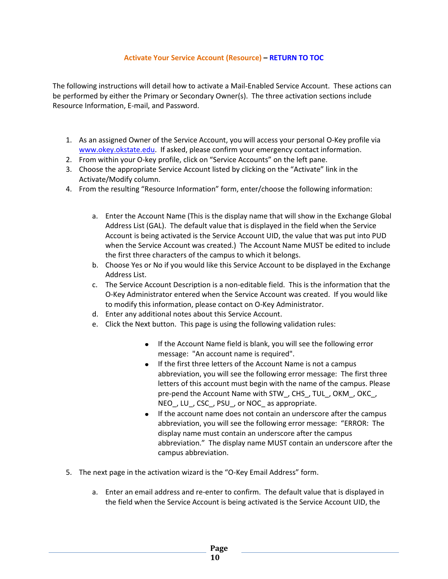#### **Activate Your Service Account (Resource) – [RETURN TO](#page-1-0) TOC**

The following instructions will detail how to activate a Mail-Enabled Service Account. These actions can be performed by either the Primary or Secondary Owner(s). The three activation sections include Resource Information, E-mail, and Password.

- 1. As an assigned Owner of the Service Account, you will access your personal O-Key profile via [www.okey.okstate.edu.](http://www.okey.okstate.edu/) If asked, please confirm your emergency contact information.
- 2. From within your O-key profile, click on "Service Accounts" on the left pane.
- 3. Choose the appropriate Service Account listed by clicking on the "Activate" link in the Activate/Modify column.
- 4. From the resulting "Resource Information" form, enter/choose the following information:
	- a. Enter the Account Name (This is the display name that will show in the Exchange Global Address List (GAL). The default value that is displayed in the field when the Service Account is being activated is the Service Account UID, the value that was put into PUD when the Service Account was created.) The Account Name MUST be edited to include the first three characters of the campus to which it belongs.
	- b. Choose Yes or No if you would like this Service Account to be displayed in the Exchange Address List.
	- c. The Service Account Description is a non-editable field. This is the information that the O-Key Administrator entered when the Service Account was created. If you would like to modify this information, please contact on O-Key Administrator.
	- d. Enter any additional notes about this Service Account.
	- e. Click the Next button. This page is using the following validation rules:
		- If the Account Name field is blank, you will see the following error message: "An account name is required".
		- **If the first three letters of the Account Name is not a campus** abbreviation, you will see the following error message: The first three letters of this account must begin with the name of the campus. Please pre-pend the Account Name with STW\_, CHS\_, TUL\_, OKM\_, OKC\_, NEO, LU, CSC, PSU, or NOC as appropriate.
		- If the account name does not contain an underscore after the campus abbreviation, you will see the following error message: "ERROR: The display name must contain an underscore after the campus abbreviation." The display name MUST contain an underscore after the campus abbreviation.
- 5. The next page in the activation wizard is the "O-Key Email Address" form.
	- a. Enter an email address and re-enter to confirm. The default value that is displayed in the field when the Service Account is being activated is the Service Account UID, the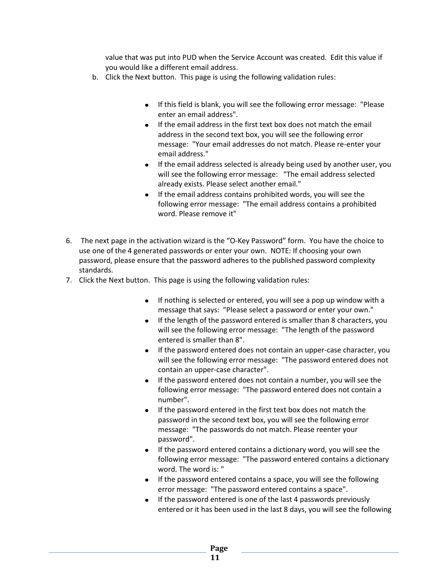value that was put into PUD when the Service Account was created. Edit this value if you would like a different email address.

- b. Click the Next button. This page is using the following validation rules:
	- If this field is blank, you will see the following error message: "Please enter an email address".
	- If the email address in the first text box does not match the email address in the second text box, you will see the following error message: "Your email addresses do not match. Please re-enter your email address."
	- If the email address selected is already being used by another user, you will see the following error message: "The email address selected already exists. Please select another email."
	- If the email address contains prohibited words, you will see the following error message: "The email address contains a prohibited word. Please remove it"
- 6. The next page in the activation wizard is the "O-Key Password" form. You have the choice to use one of the 4 generated passwords or enter your own. NOTE: If choosing your own password, please ensure that the password adheres to the published password complexity standards.
- 7. Click the Next button. This page is using the following validation rules:
	- If nothing is selected or entered, you will see a pop up window with a message that says: "Please select a password or enter your own."
	- If the length of the password entered is smaller than 8 characters, you will see the following error message: "The length of the password entered is smaller than 8".
	- If the password entered does not contain an upper-case character, you will see the following error message: "The password entered does not contain an upper-case character".
	- If the password entered does not contain a number, you will see the following error message: "The password entered does not contain a number".
	- If the password entered in the first text box does not match the password in the second text box, you will see the following error message: "The passwords do not match. Please reenter your password".
	- If the password entered contains a dictionary word, you will see the following error message: "The password entered contains a dictionary word. The word is: "
	- If the password entered contains a space, you will see the following error message: "The password entered contains a space".
	- $\bullet$  If the password entered is one of the last 4 passwords previously entered or it has been used in the last 8 days, you will see the following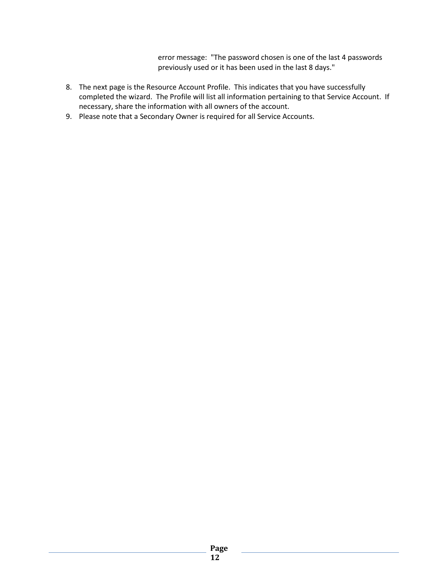error message: "The password chosen is one of the last 4 passwords previously used or it has been used in the last 8 days."

- 8. The next page is the Resource Account Profile. This indicates that you have successfully completed the wizard. The Profile will list all information pertaining to that Service Account. If necessary, share the information with all owners of the account.
- 9. Please note that a Secondary Owner is required for all Service Accounts.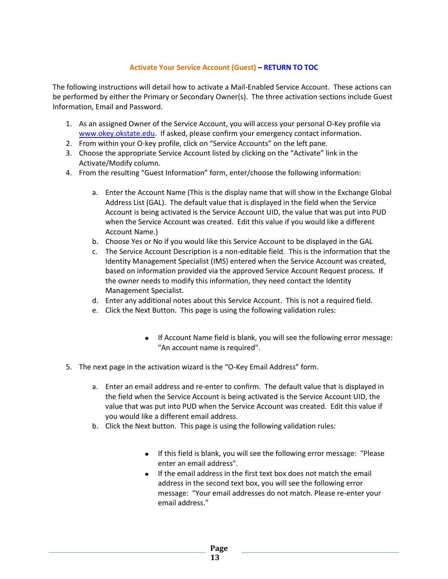# **Activate Your Service Account (Guest) – [RETURN TO](#page-1-0) TOC**

<span id="page-12-0"></span>The following instructions will detail how to activate a Mail-Enabled Service Account. These actions can be performed by either the Primary or Secondary Owner(s). The three activation sections include Guest Information, Email and Password.

- 1. As an assigned Owner of the Service Account, you will access your personal O-Key profile via [www.okey.okstate.edu.](http://www.okey.okstate.edu/) If asked, please confirm your emergency contact information.
- 2. From within your O-key profile, click on "Service Accounts" on the left pane.
- 3. Choose the appropriate Service Account listed by clicking on the "Activate" link in the Activate/Modify column.
- 4. From the resulting "Guest Information" form, enter/choose the following information:
	- a. Enter the Account Name (This is the display name that will show in the Exchange Global Address List (GAL). The default value that is displayed in the field when the Service Account is being activated is the Service Account UID, the value that was put into PUD when the Service Account was created. Edit this value if you would like a different Account Name.)
	- b. Choose Yes or No if you would like this Service Account to be displayed in the GAL
	- c. The Service Account Description is a non-editable field. This is the information that the Identity Management Specialist (IMS) entered when the Service Account was created, based on information provided via the approved Service Account Request process. If the owner needs to modify this information, they need contact the Identity Management Specialist.
	- d. Enter any additional notes about this Service Account. This is not a required field.
	- e. Click the Next Button. This page is using the following validation rules:
		- If Account Name field is blank, you will see the following error message:  $\bullet$ "An account name is required".
- 5. The next page in the activation wizard is the "O-Key Email Address" form.
	- a. Enter an email address and re-enter to confirm. The default value that is displayed in the field when the Service Account is being activated is the Service Account UID, the value that was put into PUD when the Service Account was created. Edit this value if you would like a different email address.
	- b. Click the Next button. This page is using the following validation rules:
		- If this field is blank, you will see the following error message: "Please enter an email address".
		- If the email address in the first text box does not match the email address in the second text box, you will see the following error message: "Your email addresses do not match. Please re-enter your email address."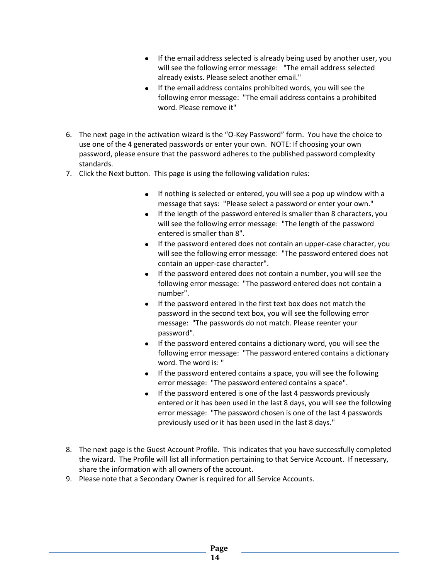- If the email address selected is already being used by another user, you will see the following error message: "The email address selected already exists. Please select another email."
- If the email address contains prohibited words, you will see the following error message: "The email address contains a prohibited word. Please remove it"
- 6. The next page in the activation wizard is the "O-Key Password" form. You have the choice to use one of the 4 generated passwords or enter your own. NOTE: If choosing your own password, please ensure that the password adheres to the published password complexity standards.
- 7. Click the Next button. This page is using the following validation rules:
	- If nothing is selected or entered, you will see a pop up window with a message that says: "Please select a password or enter your own."
	- If the length of the password entered is smaller than 8 characters, you will see the following error message: "The length of the password entered is smaller than 8".
	- If the password entered does not contain an upper-case character, you will see the following error message: "The password entered does not contain an upper-case character".
	- If the password entered does not contain a number, you will see the following error message: "The password entered does not contain a number".
	- If the password entered in the first text box does not match the password in the second text box, you will see the following error message: "The passwords do not match. Please reenter your password".
	- If the password entered contains a dictionary word, you will see the following error message: "The password entered contains a dictionary word. The word is: "
	- If the password entered contains a space, you will see the following error message: "The password entered contains a space".
	- $\bullet$  If the password entered is one of the last 4 passwords previously entered or it has been used in the last 8 days, you will see the following error message: "The password chosen is one of the last 4 passwords previously used or it has been used in the last 8 days."
- 8. The next page is the Guest Account Profile. This indicates that you have successfully completed the wizard. The Profile will list all information pertaining to that Service Account. If necessary, share the information with all owners of the account.
- 9. Please note that a Secondary Owner is required for all Service Accounts.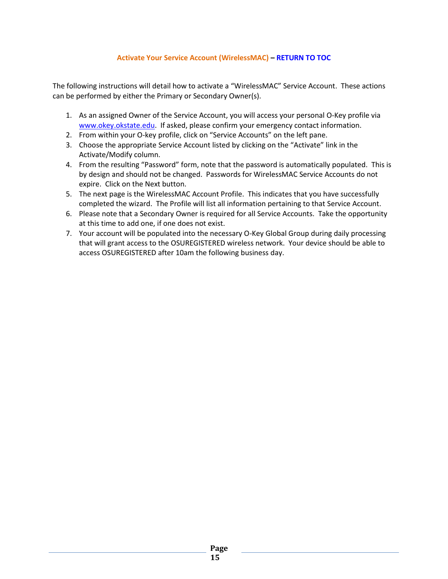# **Activate Your Service Account (WirelessMAC) – [RETURN TO TOC](#page-1-0)**

<span id="page-14-0"></span>The following instructions will detail how to activate a "WirelessMAC" Service Account. These actions can be performed by either the Primary or Secondary Owner(s).

- 1. As an assigned Owner of the Service Account, you will access your personal O-Key profile via [www.okey.okstate.edu.](http://www.okey.okstate.edu/) If asked, please confirm your emergency contact information.
- 2. From within your O-key profile, click on "Service Accounts" on the left pane.
- 3. Choose the appropriate Service Account listed by clicking on the "Activate" link in the Activate/Modify column.
- 4. From the resulting "Password" form, note that the password is automatically populated. This is by design and should not be changed. Passwords for WirelessMAC Service Accounts do not expire. Click on the Next button.
- 5. The next page is the WirelessMAC Account Profile. This indicates that you have successfully completed the wizard. The Profile will list all information pertaining to that Service Account.
- 6. Please note that a Secondary Owner is required for all Service Accounts. Take the opportunity at this time to add one, if one does not exist.
- 7. Your account will be populated into the necessary O-Key Global Group during daily processing that will grant access to the OSUREGISTERED wireless network. Your device should be able to access OSUREGISTERED after 10am the following business day.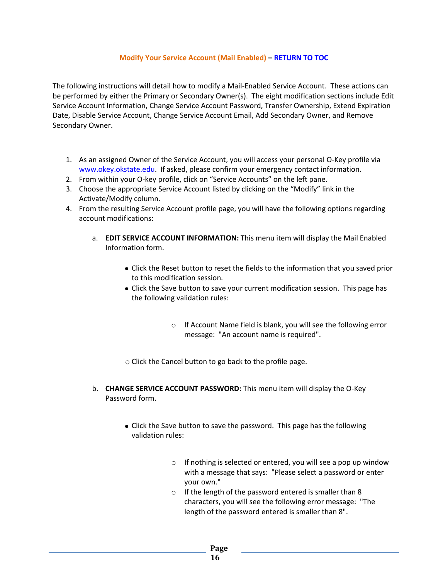#### **Modify Your Service Account (Mail Enabled) – [RETURN TO](#page-1-0) TOC**

<span id="page-15-0"></span>The following instructions will detail how to modify a Mail-Enabled Service Account. These actions can be performed by either the Primary or Secondary Owner(s). The eight modification sections include Edit Service Account Information, Change Service Account Password, Transfer Ownership, Extend Expiration Date, Disable Service Account, Change Service Account Email, Add Secondary Owner, and Remove Secondary Owner.

- 1. As an assigned Owner of the Service Account, you will access your personal O-Key profile via [www.okey.okstate.edu.](http://www.okey.okstate.edu/) If asked, please confirm your emergency contact information.
- 2. From within your O-key profile, click on "Service Accounts" on the left pane.
- 3. Choose the appropriate Service Account listed by clicking on the "Modify" link in the Activate/Modify column.
- 4. From the resulting Service Account profile page, you will have the following options regarding account modifications:
	- a. **EDIT SERVICE ACCOUNT INFORMATION:** This menu item will display the Mail Enabled Information form.
		- Click the Reset button to reset the fields to the information that you saved prior to this modification session.
		- Click the Save button to save your current modification session. This page has the following validation rules:
			- o If Account Name field is blank, you will see the following error message: "An account name is required".
		- o Click the Cancel button to go back to the profile page.
	- b. **CHANGE SERVICE ACCOUNT PASSWORD:** This menu item will display the O-Key Password form.
		- Click the Save button to save the password. This page has the following validation rules:
			- o If nothing is selected or entered, you will see a pop up window with a message that says: "Please select a password or enter your own."
			- o If the length of the password entered is smaller than 8 characters, you will see the following error message: "The length of the password entered is smaller than 8".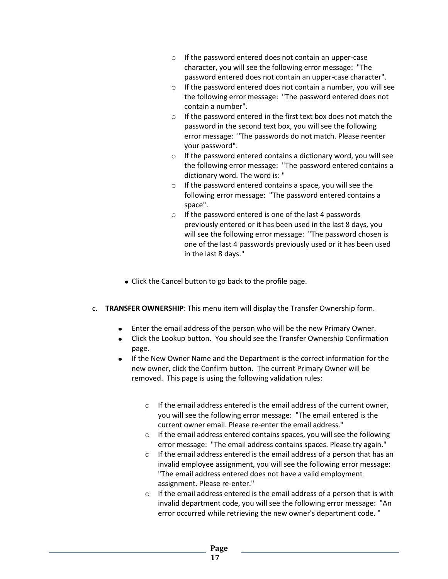- o If the password entered does not contain an upper-case character, you will see the following error message: "The password entered does not contain an upper-case character".
- $\circ$  If the password entered does not contain a number, you will see the following error message: "The password entered does not contain a number".
- o If the password entered in the first text box does not match the password in the second text box, you will see the following error message: "The passwords do not match. Please reenter your password".
- $\circ$  If the password entered contains a dictionary word, you will see the following error message: "The password entered contains a dictionary word. The word is: "
- o If the password entered contains a space, you will see the following error message: "The password entered contains a space".
- o If the password entered is one of the last 4 passwords previously entered or it has been used in the last 8 days, you will see the following error message: "The password chosen is one of the last 4 passwords previously used or it has been used in the last 8 days."
- Click the Cancel button to go back to the profile page.
- c. **TRANSFER OWNERSHIP**: This menu item will display the Transfer Ownership form.
	- $\bullet$ Enter the email address of the person who will be the new Primary Owner.
	- Click the Lookup button. You should see the Transfer Ownership Confirmation page.
	- If the New Owner Name and the Department is the correct information for the new owner, click the Confirm button. The current Primary Owner will be removed. This page is using the following validation rules:
		- o If the email address entered is the email address of the current owner, you will see the following error message: "The email entered is the current owner email. Please re-enter the email address."
		- o If the email address entered contains spaces, you will see the following error message: "The email address contains spaces. Please try again."
		- o If the email address entered is the email address of a person that has an invalid employee assignment, you will see the following error message: "The email address entered does not have a valid employment assignment. Please re-enter."
		- o If the email address entered is the email address of a person that is with invalid department code, you will see the following error message: "An error occurred while retrieving the new owner's department code. "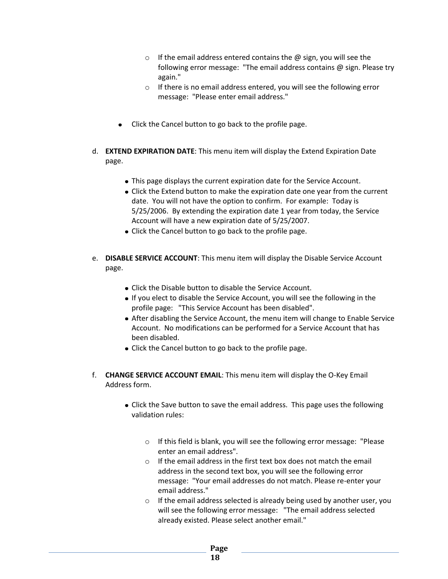- $\circ$  If the email address entered contains the  $\omega$  sign, you will see the following error message: "The email address contains @ sign. Please try again."
- o If there is no email address entered, you will see the following error message: "Please enter email address."
- Click the Cancel button to go back to the profile page.
- d. **EXTEND EXPIRATION DATE**: This menu item will display the Extend Expiration Date page.
	- This page displays the current expiration date for the Service Account.
	- Click the Extend button to make the expiration date one year from the current date. You will not have the option to confirm. For example: Today is 5/25/2006. By extending the expiration date 1 year from today, the Service Account will have a new expiration date of 5/25/2007.
	- Click the Cancel button to go back to the profile page.
- e. **DISABLE SERVICE ACCOUNT**: This menu item will display the Disable Service Account page.
	- Click the Disable button to disable the Service Account.
	- If you elect to disable the Service Account, you will see the following in the profile page: "This Service Account has been disabled".
	- After disabling the Service Account, the menu item will change to Enable Service Account. No modifications can be performed for a Service Account that has been disabled.
	- Click the Cancel button to go back to the profile page.
- f. **CHANGE SERVICE ACCOUNT EMAIL**: This menu item will display the O-Key Email Address form.
	- Click the Save button to save the email address. This page uses the following validation rules:
		- o If this field is blank, you will see the following error message: "Please enter an email address".
		- $\circ$  If the email address in the first text box does not match the email address in the second text box, you will see the following error message: "Your email addresses do not match. Please re-enter your email address."
		- o If the email address selected is already being used by another user, you will see the following error message: "The email address selected already existed. Please select another email."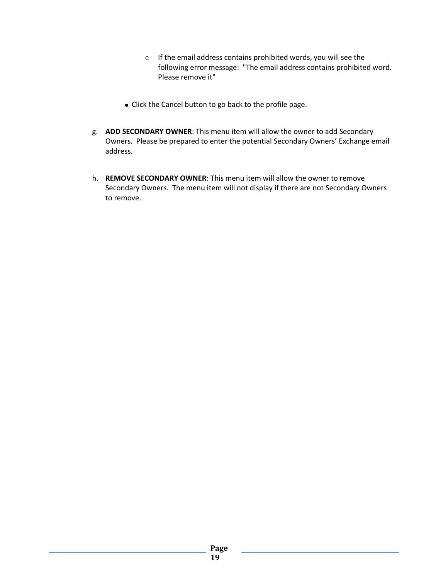- o If the email address contains prohibited words, you will see the following error message: "The email address contains prohibited word. Please remove it"
- Click the Cancel button to go back to the profile page.
- g. **ADD SECONDARY OWNER**: This menu item will allow the owner to add Secondary Owners. Please be prepared to enter the potential Secondary Owners' Exchange email address.
- h. **REMOVE SECONDARY OWNER**: This menu item will allow the owner to remove Secondary Owners. The menu item will not display if there are not Secondary Owners to remove.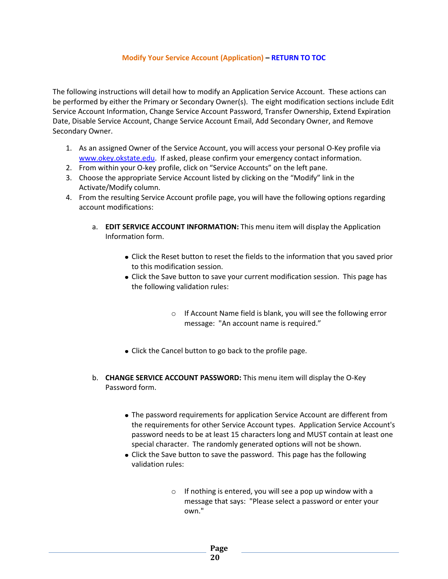#### **Modify Your Service Account (Application) – [RETURN TO](#page-1-0) TOC**

<span id="page-19-0"></span>The following instructions will detail how to modify an Application Service Account. These actions can be performed by either the Primary or Secondary Owner(s). The eight modification sections include Edit Service Account Information, Change Service Account Password, Transfer Ownership, Extend Expiration Date, Disable Service Account, Change Service Account Email, Add Secondary Owner, and Remove Secondary Owner.

- 1. As an assigned Owner of the Service Account, you will access your personal O-Key profile via [www.okey.okstate.edu.](http://www.okey.okstate.edu/) If asked, please confirm your emergency contact information.
- 2. From within your O-key profile, click on "Service Accounts" on the left pane.
- 3. Choose the appropriate Service Account listed by clicking on the "Modify" link in the Activate/Modify column.
- 4. From the resulting Service Account profile page, you will have the following options regarding account modifications:
	- a. **EDIT SERVICE ACCOUNT INFORMATION:** This menu item will display the Application Information form.
		- Click the Reset button to reset the fields to the information that you saved prior to this modification session.
		- Click the Save button to save your current modification session. This page has the following validation rules:
			- o If Account Name field is blank, you will see the following error message: "An account name is required."
		- Click the Cancel button to go back to the profile page.
	- b. **CHANGE SERVICE ACCOUNT PASSWORD:** This menu item will display the O-Key Password form.
		- The password requirements for application Service Account are different from the requirements for other Service Account types. Application Service Account's password needs to be at least 15 characters long and MUST contain at least one special character. The randomly generated options will not be shown.
		- Click the Save button to save the password. This page has the following validation rules:
			- $\circ$  If nothing is entered, you will see a pop up window with a message that says: "Please select a password or enter your own."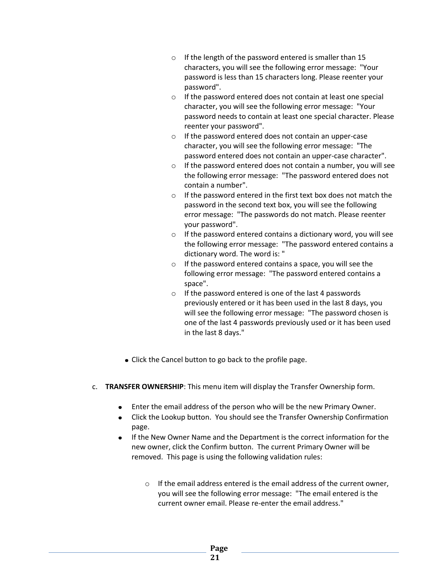- o If the length of the password entered is smaller than 15 characters, you will see the following error message: "Your password is less than 15 characters long. Please reenter your password".
- o If the password entered does not contain at least one special character, you will see the following error message: "Your password needs to contain at least one special character. Please reenter your password".
- o If the password entered does not contain an upper-case character, you will see the following error message: "The password entered does not contain an upper-case character".
- $\circ$  If the password entered does not contain a number, you will see the following error message: "The password entered does not contain a number".
- o If the password entered in the first text box does not match the password in the second text box, you will see the following error message: "The passwords do not match. Please reenter your password".
- $\circ$  If the password entered contains a dictionary word, you will see the following error message: "The password entered contains a dictionary word. The word is: "
- o If the password entered contains a space, you will see the following error message: "The password entered contains a space".
- o If the password entered is one of the last 4 passwords previously entered or it has been used in the last 8 days, you will see the following error message: "The password chosen is one of the last 4 passwords previously used or it has been used in the last 8 days."
- Click the Cancel button to go back to the profile page.
- c. **TRANSFER OWNERSHIP**: This menu item will display the Transfer Ownership form.
	- $\bullet$ Enter the email address of the person who will be the new Primary Owner.
	- Click the Lookup button. You should see the Transfer Ownership Confirmation page.
	- If the New Owner Name and the Department is the correct information for the new owner, click the Confirm button. The current Primary Owner will be removed. This page is using the following validation rules:
		- o If the email address entered is the email address of the current owner, you will see the following error message: "The email entered is the current owner email. Please re-enter the email address."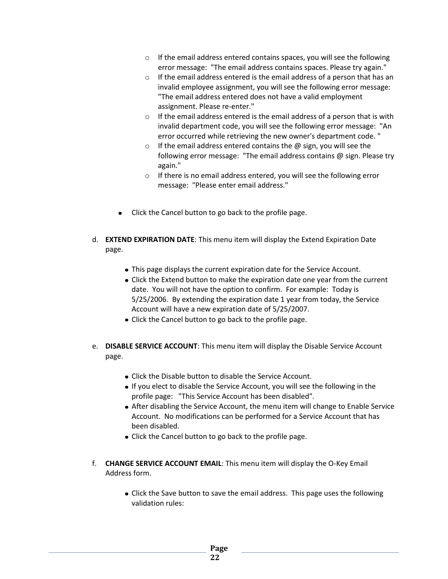- $\circ$  If the email address entered contains spaces, you will see the following error message: "The email address contains spaces. Please try again."
- o If the email address entered is the email address of a person that has an invalid employee assignment, you will see the following error message: "The email address entered does not have a valid employment assignment. Please re-enter."
- $\circ$  If the email address entered is the email address of a person that is with invalid department code, you will see the following error message: "An error occurred while retrieving the new owner's department code. "
- $\circ$  If the email address entered contains the  $\omega$  sign, you will see the following error message: "The email address contains @ sign. Please try again."
- $\circ$  If there is no email address entered, you will see the following error message: "Please enter email address."
- Click the Cancel button to go back to the profile page.
- d. **EXTEND EXPIRATION DATE**: This menu item will display the Extend Expiration Date page.
	- This page displays the current expiration date for the Service Account.
	- Click the Extend button to make the expiration date one year from the current date. You will not have the option to confirm. For example: Today is 5/25/2006. By extending the expiration date 1 year from today, the Service Account will have a new expiration date of 5/25/2007.
	- Click the Cancel button to go back to the profile page.
- e. **DISABLE SERVICE ACCOUNT**: This menu item will display the Disable Service Account page.
	- Click the Disable button to disable the Service Account.
	- If you elect to disable the Service Account, you will see the following in the profile page: "This Service Account has been disabled".
	- After disabling the Service Account, the menu item will change to Enable Service Account. No modifications can be performed for a Service Account that has been disabled.
	- Click the Cancel button to go back to the profile page.
- f. **CHANGE SERVICE ACCOUNT EMAIL**: This menu item will display the O-Key Email Address form.
	- Click the Save button to save the email address. This page uses the following validation rules: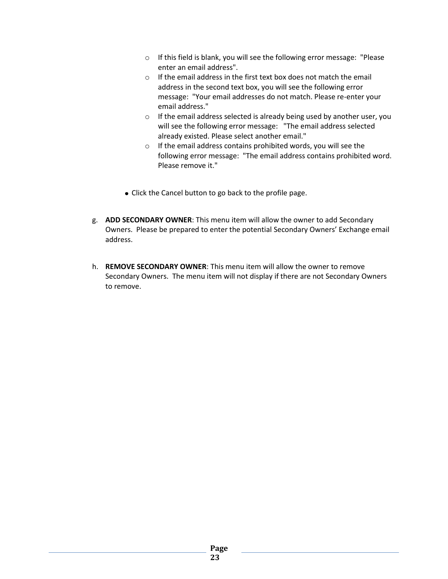- o If this field is blank, you will see the following error message: "Please enter an email address".
- o If the email address in the first text box does not match the email address in the second text box, you will see the following error message: "Your email addresses do not match. Please re-enter your email address."
- o If the email address selected is already being used by another user, you will see the following error message: "The email address selected already existed. Please select another email."
- $\circ$  If the email address contains prohibited words, you will see the following error message: "The email address contains prohibited word. Please remove it."
- Click the Cancel button to go back to the profile page.
- g. **ADD SECONDARY OWNER**: This menu item will allow the owner to add Secondary Owners. Please be prepared to enter the potential Secondary Owners' Exchange email address.
- h. **REMOVE SECONDARY OWNER**: This menu item will allow the owner to remove Secondary Owners. The menu item will not display if there are not Secondary Owners to remove.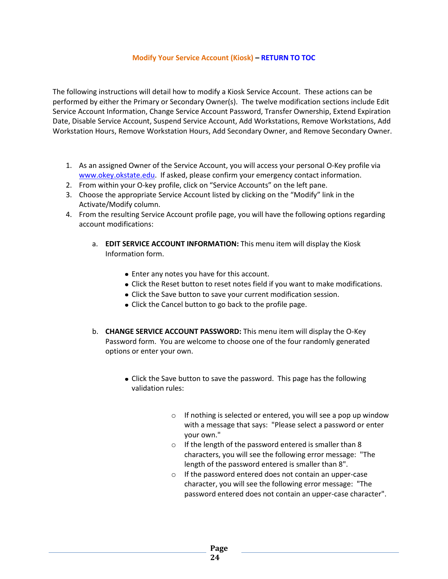#### **Modify Your Service Account (Kiosk) – [RETURN TO](#page-1-0) TOC**

<span id="page-23-0"></span>The following instructions will detail how to modify a Kiosk Service Account. These actions can be performed by either the Primary or Secondary Owner(s). The twelve modification sections include Edit Service Account Information, Change Service Account Password, Transfer Ownership, Extend Expiration Date, Disable Service Account, Suspend Service Account, Add Workstations, Remove Workstations, Add Workstation Hours, Remove Workstation Hours, Add Secondary Owner, and Remove Secondary Owner.

- 1. As an assigned Owner of the Service Account, you will access your personal O-Key profile via [www.okey.okstate.edu.](http://www.okey.okstate.edu/) If asked, please confirm your emergency contact information.
- 2. From within your O-key profile, click on "Service Accounts" on the left pane.
- 3. Choose the appropriate Service Account listed by clicking on the "Modify" link in the Activate/Modify column.
- 4. From the resulting Service Account profile page, you will have the following options regarding account modifications:
	- a. **EDIT SERVICE ACCOUNT INFORMATION:** This menu item will display the Kiosk Information form.
		- Enter any notes you have for this account.
		- Click the Reset button to reset notes field if you want to make modifications.
		- Click the Save button to save your current modification session.
		- Click the Cancel button to go back to the profile page.
	- b. **CHANGE SERVICE ACCOUNT PASSWORD:** This menu item will display the O-Key Password form. You are welcome to choose one of the four randomly generated options or enter your own.
		- Click the Save button to save the password. This page has the following validation rules:
			- $\circ$  If nothing is selected or entered, you will see a pop up window with a message that says: "Please select a password or enter your own."
			- o If the length of the password entered is smaller than 8 characters, you will see the following error message: "The length of the password entered is smaller than 8".
			- o If the password entered does not contain an upper-case character, you will see the following error message: "The password entered does not contain an upper-case character".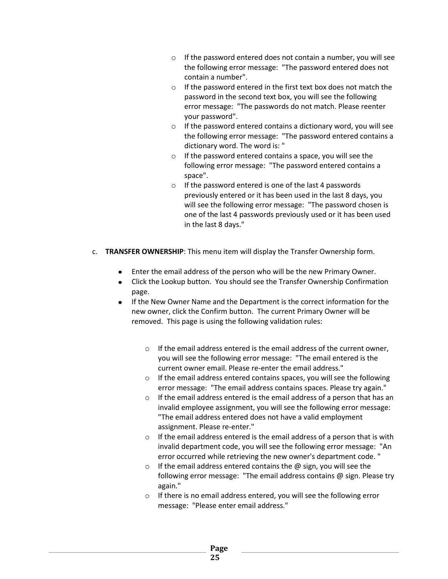- o If the password entered does not contain a number, you will see the following error message: "The password entered does not contain a number".
- o If the password entered in the first text box does not match the password in the second text box, you will see the following error message: "The passwords do not match. Please reenter your password".
- $\circ$  If the password entered contains a dictionary word, you will see the following error message: "The password entered contains a dictionary word. The word is: "
- o If the password entered contains a space, you will see the following error message: "The password entered contains a space".
- o If the password entered is one of the last 4 passwords previously entered or it has been used in the last 8 days, you will see the following error message: "The password chosen is one of the last 4 passwords previously used or it has been used in the last 8 days."
- c. **TRANSFER OWNERSHIP**: This menu item will display the Transfer Ownership form.
	- Enter the email address of the person who will be the new Primary Owner.
	- Click the Lookup button. You should see the Transfer Ownership Confirmation  $\bullet$ page.
	- If the New Owner Name and the Department is the correct information for the  $\bullet$ new owner, click the Confirm button. The current Primary Owner will be removed. This page is using the following validation rules:
		- $\circ$  If the email address entered is the email address of the current owner, you will see the following error message: "The email entered is the current owner email. Please re-enter the email address."
		- o If the email address entered contains spaces, you will see the following error message: "The email address contains spaces. Please try again."
		- o If the email address entered is the email address of a person that has an invalid employee assignment, you will see the following error message: "The email address entered does not have a valid employment assignment. Please re-enter."
		- $\circ$  If the email address entered is the email address of a person that is with invalid department code, you will see the following error message: "An error occurred while retrieving the new owner's department code. "
		- $\circ$  If the email address entered contains the  $\omega$  sign, you will see the following error message: "The email address contains @ sign. Please try again."
		- o If there is no email address entered, you will see the following error message: "Please enter email address."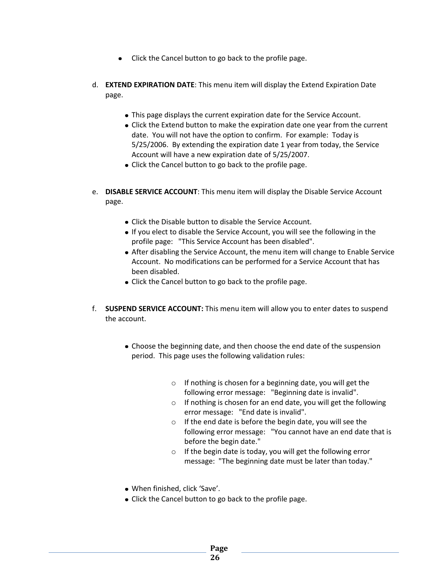- Click the Cancel button to go back to the profile page.
- d. **EXTEND EXPIRATION DATE**: This menu item will display the Extend Expiration Date page.
	- This page displays the current expiration date for the Service Account.
	- Click the Extend button to make the expiration date one year from the current date. You will not have the option to confirm. For example: Today is 5/25/2006. By extending the expiration date 1 year from today, the Service Account will have a new expiration date of 5/25/2007.
	- Click the Cancel button to go back to the profile page.
- e. **DISABLE SERVICE ACCOUNT**: This menu item will display the Disable Service Account page.
	- Click the Disable button to disable the Service Account.
	- If you elect to disable the Service Account, you will see the following in the profile page: "This Service Account has been disabled".
	- After disabling the Service Account, the menu item will change to Enable Service Account. No modifications can be performed for a Service Account that has been disabled.
	- Click the Cancel button to go back to the profile page.
- f. **SUSPEND SERVICE ACCOUNT:** This menu item will allow you to enter dates to suspend the account.
	- Choose the beginning date, and then choose the end date of the suspension period. This page uses the following validation rules:
		- o If nothing is chosen for a beginning date, you will get the following error message: "Beginning date is invalid".
		- o If nothing is chosen for an end date, you will get the following error message: "End date is invalid".
		- o If the end date is before the begin date, you will see the following error message: "You cannot have an end date that is before the begin date."
		- o If the begin date is today, you will get the following error message: "The beginning date must be later than today."
	- When finished, click 'Save'.
	- Click the Cancel button to go back to the profile page.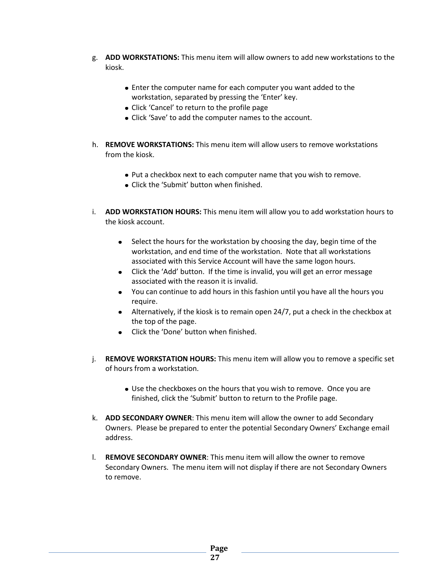- g. **ADD WORKSTATIONS:** This menu item will allow owners to add new workstations to the kiosk.
	- Enter the computer name for each computer you want added to the workstation, separated by pressing the 'Enter' key.
	- Click 'Cancel' to return to the profile page
	- Click 'Save' to add the computer names to the account.
- h. **REMOVE WORKSTATIONS:** This menu item will allow users to remove workstations from the kiosk.
	- Put a checkbox next to each computer name that you wish to remove.
	- Click the 'Submit' button when finished.
- i. **ADD WORKSTATION HOURS:** This menu item will allow you to add workstation hours to the kiosk account.
	- Select the hours for the workstation by choosing the day, begin time of the workstation, and end time of the workstation. Note that all workstations associated with this Service Account will have the same logon hours.
	- Click the 'Add' button. If the time is invalid, you will get an error message associated with the reason it is invalid.
	- You can continue to add hours in this fashion until you have all the hours you require.
	- Alternatively, if the kiosk is to remain open 24/7, put a check in the checkbox at the top of the page.
	- Click the 'Done' button when finished.
- j. **REMOVE WORKSTATION HOURS:** This menu item will allow you to remove a specific set of hours from a workstation.
	- Use the checkboxes on the hours that you wish to remove. Once you are finished, click the 'Submit' button to return to the Profile page.
- k. **ADD SECONDARY OWNER**: This menu item will allow the owner to add Secondary Owners. Please be prepared to enter the potential Secondary Owners' Exchange email address.
- l. **REMOVE SECONDARY OWNER**: This menu item will allow the owner to remove Secondary Owners. The menu item will not display if there are not Secondary Owners to remove.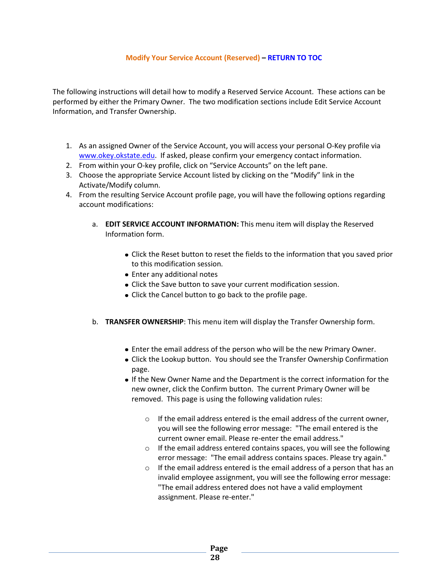#### **Modify Your Service Account (Reserved) – [RETURN TO](#page-1-0) TOC**

<span id="page-27-0"></span>The following instructions will detail how to modify a Reserved Service Account. These actions can be performed by either the Primary Owner. The two modification sections include Edit Service Account Information, and Transfer Ownership.

- 1. As an assigned Owner of the Service Account, you will access your personal O-Key profile via [www.okey.okstate.edu.](http://www.okey.okstate.edu/) If asked, please confirm your emergency contact information.
- 2. From within your O-key profile, click on "Service Accounts" on the left pane.
- 3. Choose the appropriate Service Account listed by clicking on the "Modify" link in the Activate/Modify column.
- 4. From the resulting Service Account profile page, you will have the following options regarding account modifications:
	- a. **EDIT SERVICE ACCOUNT INFORMATION:** This menu item will display the Reserved Information form.
		- Click the Reset button to reset the fields to the information that you saved prior to this modification session.
		- Enter any additional notes
		- Click the Save button to save your current modification session.
		- Click the Cancel button to go back to the profile page.
	- b. **TRANSFER OWNERSHIP**: This menu item will display the Transfer Ownership form.
		- Enter the email address of the person who will be the new Primary Owner.
		- Click the Lookup button. You should see the Transfer Ownership Confirmation page.
		- If the New Owner Name and the Department is the correct information for the new owner, click the Confirm button. The current Primary Owner will be removed. This page is using the following validation rules:
			- o If the email address entered is the email address of the current owner, you will see the following error message: "The email entered is the current owner email. Please re-enter the email address."
			- o If the email address entered contains spaces, you will see the following error message: "The email address contains spaces. Please try again."
			- o If the email address entered is the email address of a person that has an invalid employee assignment, you will see the following error message: "The email address entered does not have a valid employment assignment. Please re-enter."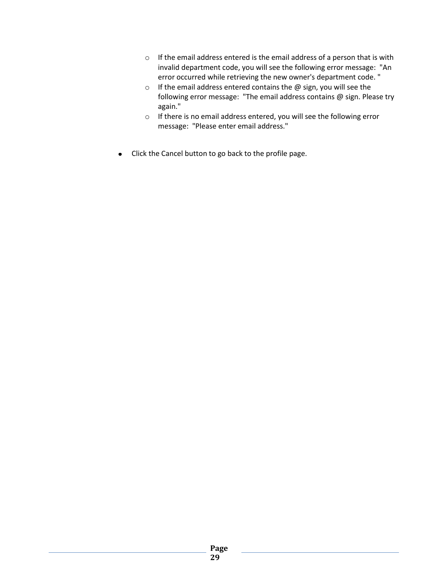- o If the email address entered is the email address of a person that is with invalid department code, you will see the following error message: "An error occurred while retrieving the new owner's department code. "
- $\circ$  If the email address entered contains the  $\omega$  sign, you will see the following error message: "The email address contains @ sign. Please try again."
- o If there is no email address entered, you will see the following error message: "Please enter email address."
- Click the Cancel button to go back to the profile page.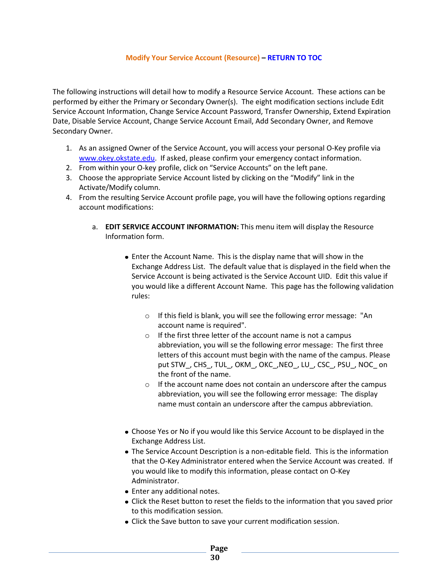#### **Modify Your Service Account (Resource) – [RETURN TO](#page-1-0) TOC**

<span id="page-29-0"></span>The following instructions will detail how to modify a Resource Service Account. These actions can be performed by either the Primary or Secondary Owner(s). The eight modification sections include Edit Service Account Information, Change Service Account Password, Transfer Ownership, Extend Expiration Date, Disable Service Account, Change Service Account Email, Add Secondary Owner, and Remove Secondary Owner.

- 1. As an assigned Owner of the Service Account, you will access your personal O-Key profile via [www.okey.okstate.edu.](http://www.okey.okstate.edu/) If asked, please confirm your emergency contact information.
- 2. From within your O-key profile, click on "Service Accounts" on the left pane.
- 3. Choose the appropriate Service Account listed by clicking on the "Modify" link in the Activate/Modify column.
- 4. From the resulting Service Account profile page, you will have the following options regarding account modifications:
	- a. **EDIT SERVICE ACCOUNT INFORMATION:** This menu item will display the Resource Information form.
		- Enter the Account Name. This is the display name that will show in the Exchange Address List. The default value that is displayed in the field when the Service Account is being activated is the Service Account UID. Edit this value if you would like a different Account Name. This page has the following validation rules:
			- o If this field is blank, you will see the following error message: "An account name is required".
			- $\circ$  If the first three letter of the account name is not a campus abbreviation, you will se the following error message: The first three letters of this account must begin with the name of the campus. Please put STW\_, CHS\_, TUL\_, OKM\_, OKC\_,NEO\_, LU\_, CSC\_, PSU\_, NOC\_ on the front of the name.
			- $\circ$  If the account name does not contain an underscore after the campus abbreviation, you will see the following error message: The display name must contain an underscore after the campus abbreviation.
		- Choose Yes or No if you would like this Service Account to be displayed in the Exchange Address List.
		- The Service Account Description is a non-editable field. This is the information that the O-Key Administrator entered when the Service Account was created. If you would like to modify this information, please contact on O-Key Administrator.
		- Enter any additional notes.
		- Click the Reset button to reset the fields to the information that you saved prior to this modification session.
		- Click the Save button to save your current modification session.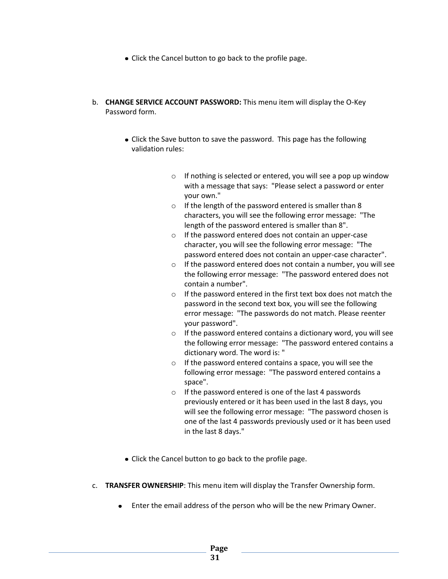- Click the Cancel button to go back to the profile page.
- b. **CHANGE SERVICE ACCOUNT PASSWORD:** This menu item will display the O-Key Password form.
	- Click the Save button to save the password. This page has the following validation rules:
		- o If nothing is selected or entered, you will see a pop up window with a message that says: "Please select a password or enter your own."
		- o If the length of the password entered is smaller than 8 characters, you will see the following error message: "The length of the password entered is smaller than 8".
		- o If the password entered does not contain an upper-case character, you will see the following error message: "The password entered does not contain an upper-case character".
		- $\circ$  If the password entered does not contain a number, you will see the following error message: "The password entered does not contain a number".
		- o If the password entered in the first text box does not match the password in the second text box, you will see the following error message: "The passwords do not match. Please reenter your password".
		- $\circ$  If the password entered contains a dictionary word, you will see the following error message: "The password entered contains a dictionary word. The word is: "
		- o If the password entered contains a space, you will see the following error message: "The password entered contains a space".
		- o If the password entered is one of the last 4 passwords previously entered or it has been used in the last 8 days, you will see the following error message: "The password chosen is one of the last 4 passwords previously used or it has been used in the last 8 days."
	- Click the Cancel button to go back to the profile page.
- c. **TRANSFER OWNERSHIP**: This menu item will display the Transfer Ownership form.
	- Enter the email address of the person who will be the new Primary Owner.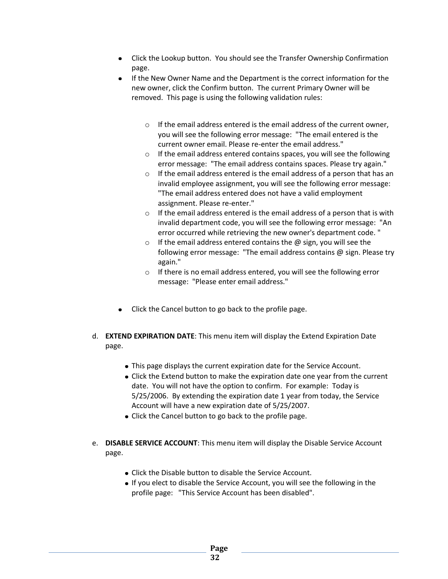- Click the Lookup button. You should see the Transfer Ownership Confirmation page.
- If the New Owner Name and the Department is the correct information for the  $\bullet$ new owner, click the Confirm button. The current Primary Owner will be removed. This page is using the following validation rules:
	- o If the email address entered is the email address of the current owner, you will see the following error message: "The email entered is the current owner email. Please re-enter the email address."
	- $\circ$  If the email address entered contains spaces, you will see the following error message: "The email address contains spaces. Please try again."
	- o If the email address entered is the email address of a person that has an invalid employee assignment, you will see the following error message: "The email address entered does not have a valid employment assignment. Please re-enter."
	- $\circ$  If the email address entered is the email address of a person that is with invalid department code, you will see the following error message: "An error occurred while retrieving the new owner's department code. "
	- $\circ$  If the email address entered contains the  $\omega$  sign, you will see the following error message: "The email address contains @ sign. Please try again."
	- $\circ$  If there is no email address entered, you will see the following error message: "Please enter email address."
- Click the Cancel button to go back to the profile page.
- d. **EXTEND EXPIRATION DATE**: This menu item will display the Extend Expiration Date page.
	- This page displays the current expiration date for the Service Account.
	- Click the Extend button to make the expiration date one year from the current date. You will not have the option to confirm. For example: Today is 5/25/2006. By extending the expiration date 1 year from today, the Service Account will have a new expiration date of 5/25/2007.
	- Click the Cancel button to go back to the profile page.
- e. **DISABLE SERVICE ACCOUNT**: This menu item will display the Disable Service Account page.
	- Click the Disable button to disable the Service Account.
	- If you elect to disable the Service Account, you will see the following in the profile page: "This Service Account has been disabled".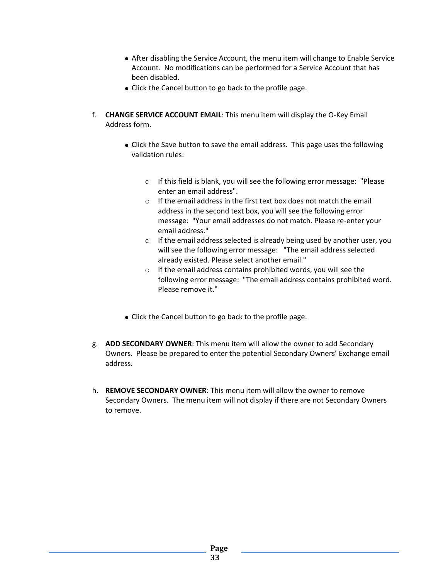- After disabling the Service Account, the menu item will change to Enable Service Account. No modifications can be performed for a Service Account that has been disabled.
- Click the Cancel button to go back to the profile page.
- f. **CHANGE SERVICE ACCOUNT EMAIL**: This menu item will display the O-Key Email Address form.
	- Click the Save button to save the email address. This page uses the following validation rules:
		- o If this field is blank, you will see the following error message: "Please enter an email address".
		- o If the email address in the first text box does not match the email address in the second text box, you will see the following error message: "Your email addresses do not match. Please re-enter your email address."
		- o If the email address selected is already being used by another user, you will see the following error message: "The email address selected already existed. Please select another email."
		- o If the email address contains prohibited words, you will see the following error message: "The email address contains prohibited word. Please remove it."
	- Click the Cancel button to go back to the profile page.
- g. **ADD SECONDARY OWNER**: This menu item will allow the owner to add Secondary Owners. Please be prepared to enter the potential Secondary Owners' Exchange email address.
- h. **REMOVE SECONDARY OWNER**: This menu item will allow the owner to remove Secondary Owners. The menu item will not display if there are not Secondary Owners to remove.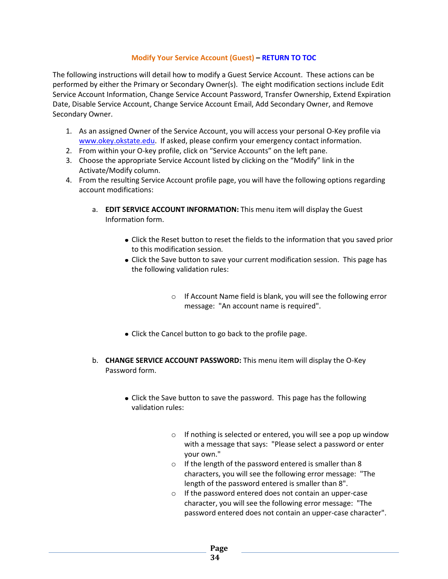#### **Modify Your Service Account (Guest) – [RETURN TO](#page-1-0) TOC**

<span id="page-33-0"></span>The following instructions will detail how to modify a Guest Service Account. These actions can be performed by either the Primary or Secondary Owner(s). The eight modification sections include Edit Service Account Information, Change Service Account Password, Transfer Ownership, Extend Expiration Date, Disable Service Account, Change Service Account Email, Add Secondary Owner, and Remove Secondary Owner.

- 1. As an assigned Owner of the Service Account, you will access your personal O-Key profile via [www.okey.okstate.edu.](http://www.okey.okstate.edu/) If asked, please confirm your emergency contact information.
- 2. From within your O-key profile, click on "Service Accounts" on the left pane.
- 3. Choose the appropriate Service Account listed by clicking on the "Modify" link in the Activate/Modify column.
- 4. From the resulting Service Account profile page, you will have the following options regarding account modifications:
	- a. **EDIT SERVICE ACCOUNT INFORMATION:** This menu item will display the Guest Information form.
		- Click the Reset button to reset the fields to the information that you saved prior to this modification session.
		- Click the Save button to save your current modification session. This page has the following validation rules:
			- o If Account Name field is blank, you will see the following error message: "An account name is required".
		- Click the Cancel button to go back to the profile page.
	- b. **CHANGE SERVICE ACCOUNT PASSWORD:** This menu item will display the O-Key Password form.
		- Click the Save button to save the password. This page has the following validation rules:
			- o If nothing is selected or entered, you will see a pop up window with a message that says: "Please select a password or enter your own."
			- o If the length of the password entered is smaller than 8 characters, you will see the following error message: "The length of the password entered is smaller than 8".
			- o If the password entered does not contain an upper-case character, you will see the following error message: "The password entered does not contain an upper-case character".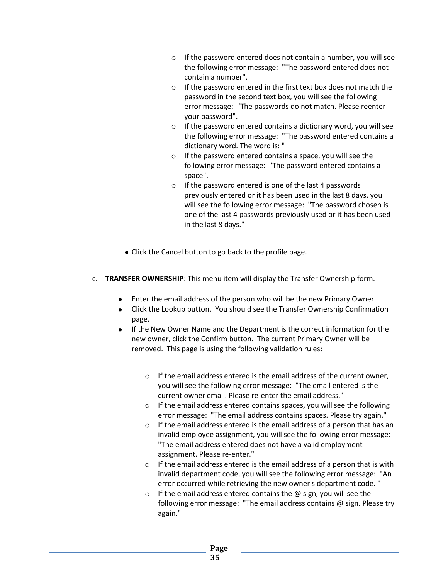- o If the password entered does not contain a number, you will see the following error message: "The password entered does not contain a number".
- o If the password entered in the first text box does not match the password in the second text box, you will see the following error message: "The passwords do not match. Please reenter your password".
- $\circ$  If the password entered contains a dictionary word, you will see the following error message: "The password entered contains a dictionary word. The word is: "
- o If the password entered contains a space, you will see the following error message: "The password entered contains a space".
- o If the password entered is one of the last 4 passwords previously entered or it has been used in the last 8 days, you will see the following error message: "The password chosen is one of the last 4 passwords previously used or it has been used in the last 8 days."
- Click the Cancel button to go back to the profile page.
- c. **TRANSFER OWNERSHIP**: This menu item will display the Transfer Ownership form.
	- Enter the email address of the person who will be the new Primary Owner.  $\bullet$
	- Click the Lookup button. You should see the Transfer Ownership Confirmation page.
	- If the New Owner Name and the Department is the correct information for the new owner, click the Confirm button. The current Primary Owner will be removed. This page is using the following validation rules:
		- $\circ$  If the email address entered is the email address of the current owner, you will see the following error message: "The email entered is the current owner email. Please re-enter the email address."
		- o If the email address entered contains spaces, you will see the following error message: "The email address contains spaces. Please try again."
		- o If the email address entered is the email address of a person that has an invalid employee assignment, you will see the following error message: "The email address entered does not have a valid employment assignment. Please re-enter."
		- $\circ$  If the email address entered is the email address of a person that is with invalid department code, you will see the following error message: "An error occurred while retrieving the new owner's department code. "
		- $\circ$  If the email address entered contains the  $\omega$  sign, you will see the following error message: "The email address contains @ sign. Please try again."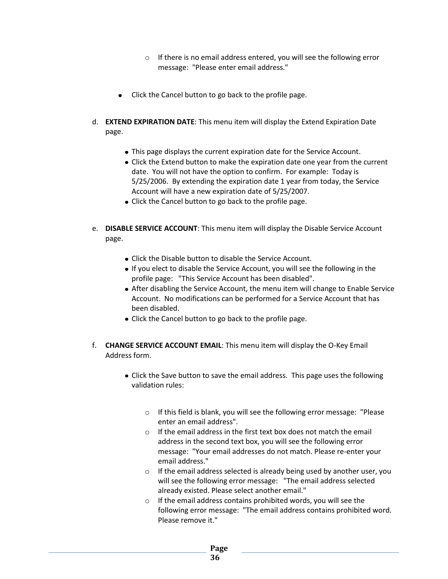- o If there is no email address entered, you will see the following error message: "Please enter email address."
- Click the Cancel button to go back to the profile page.
- d. **EXTEND EXPIRATION DATE**: This menu item will display the Extend Expiration Date page.
	- This page displays the current expiration date for the Service Account.
	- Click the Extend button to make the expiration date one year from the current date. You will not have the option to confirm. For example: Today is 5/25/2006. By extending the expiration date 1 year from today, the Service Account will have a new expiration date of 5/25/2007.
	- Click the Cancel button to go back to the profile page.
- e. **DISABLE SERVICE ACCOUNT**: This menu item will display the Disable Service Account page.
	- Click the Disable button to disable the Service Account.
	- If you elect to disable the Service Account, you will see the following in the profile page: "This Service Account has been disabled".
	- After disabling the Service Account, the menu item will change to Enable Service Account. No modifications can be performed for a Service Account that has been disabled.
	- Click the Cancel button to go back to the profile page.
- f. **CHANGE SERVICE ACCOUNT EMAIL**: This menu item will display the O-Key Email Address form.
	- Click the Save button to save the email address. This page uses the following validation rules:
		- o If this field is blank, you will see the following error message: "Please enter an email address".
		- $\circ$  If the email address in the first text box does not match the email address in the second text box, you will see the following error message: "Your email addresses do not match. Please re-enter your email address."
		- o If the email address selected is already being used by another user, you will see the following error message: "The email address selected already existed. Please select another email."
		- o If the email address contains prohibited words, you will see the following error message: "The email address contains prohibited word. Please remove it."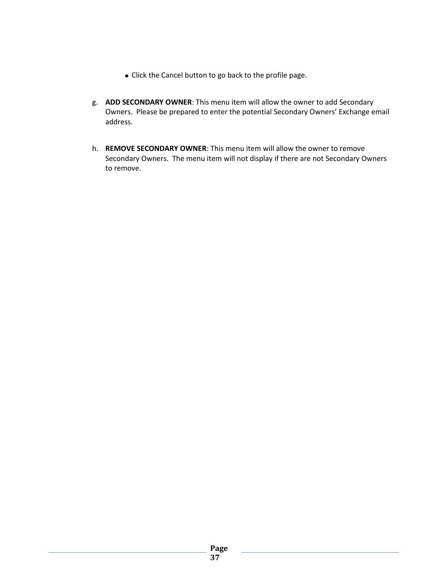- Click the Cancel button to go back to the profile page.
- g. **ADD SECONDARY OWNER**: This menu item will allow the owner to add Secondary Owners. Please be prepared to enter the potential Secondary Owners' Exchange email address.
- h. **REMOVE SECONDARY OWNER**: This menu item will allow the owner to remove Secondary Owners. The menu item will not display if there are not Secondary Owners to remove.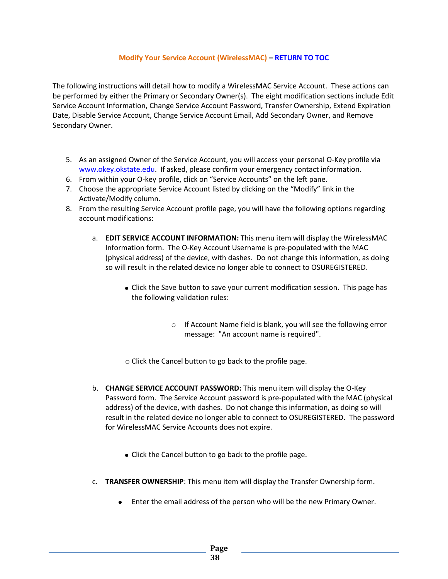#### **Modify Your Service Account (WirelessMAC) – [RETURN TO TOC](#page-1-0)**

<span id="page-37-0"></span>The following instructions will detail how to modify a WirelessMAC Service Account. These actions can be performed by either the Primary or Secondary Owner(s). The eight modification sections include Edit Service Account Information, Change Service Account Password, Transfer Ownership, Extend Expiration Date, Disable Service Account, Change Service Account Email, Add Secondary Owner, and Remove Secondary Owner.

- 5. As an assigned Owner of the Service Account, you will access your personal O-Key profile via [www.okey.okstate.edu.](http://www.okey.okstate.edu/) If asked, please confirm your emergency contact information.
- 6. From within your O-key profile, click on "Service Accounts" on the left pane.
- 7. Choose the appropriate Service Account listed by clicking on the "Modify" link in the Activate/Modify column.
- 8. From the resulting Service Account profile page, you will have the following options regarding account modifications:
	- a. **EDIT SERVICE ACCOUNT INFORMATION:** This menu item will display the WirelessMAC Information form. The O-Key Account Username is pre-populated with the MAC (physical address) of the device, with dashes. Do not change this information, as doing so will result in the related device no longer able to connect to OSUREGISTERED.
		- Click the Save button to save your current modification session. This page has the following validation rules:
			- o If Account Name field is blank, you will see the following error message: "An account name is required".

o Click the Cancel button to go back to the profile page.

- b. **CHANGE SERVICE ACCOUNT PASSWORD:** This menu item will display the O-Key Password form. The Service Account password is pre-populated with the MAC (physical address) of the device, with dashes. Do not change this information, as doing so will result in the related device no longer able to connect to OSUREGISTERED. The password for WirelessMAC Service Accounts does not expire.
	- Click the Cancel button to go back to the profile page.
- c. **TRANSFER OWNERSHIP**: This menu item will display the Transfer Ownership form.
	- Enter the email address of the person who will be the new Primary Owner.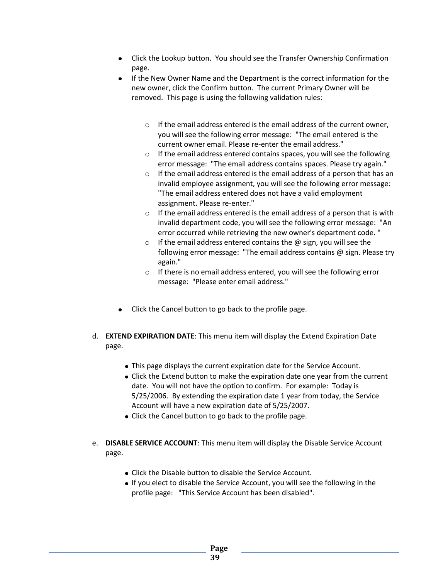- Click the Lookup button. You should see the Transfer Ownership Confirmation page.
- If the New Owner Name and the Department is the correct information for the  $\bullet$ new owner, click the Confirm button. The current Primary Owner will be removed. This page is using the following validation rules:
	- o If the email address entered is the email address of the current owner, you will see the following error message: "The email entered is the current owner email. Please re-enter the email address."
	- $\circ$  If the email address entered contains spaces, you will see the following error message: "The email address contains spaces. Please try again."
	- o If the email address entered is the email address of a person that has an invalid employee assignment, you will see the following error message: "The email address entered does not have a valid employment assignment. Please re-enter."
	- $\circ$  If the email address entered is the email address of a person that is with invalid department code, you will see the following error message: "An error occurred while retrieving the new owner's department code. "
	- $\circ$  If the email address entered contains the  $\omega$  sign, you will see the following error message: "The email address contains @ sign. Please try again."
	- $\circ$  If there is no email address entered, you will see the following error message: "Please enter email address."
- Click the Cancel button to go back to the profile page.
- d. **EXTEND EXPIRATION DATE**: This menu item will display the Extend Expiration Date page.
	- This page displays the current expiration date for the Service Account.
	- Click the Extend button to make the expiration date one year from the current date. You will not have the option to confirm. For example: Today is 5/25/2006. By extending the expiration date 1 year from today, the Service Account will have a new expiration date of 5/25/2007.
	- Click the Cancel button to go back to the profile page.
- e. **DISABLE SERVICE ACCOUNT**: This menu item will display the Disable Service Account page.
	- Click the Disable button to disable the Service Account.
	- If you elect to disable the Service Account, you will see the following in the profile page: "This Service Account has been disabled".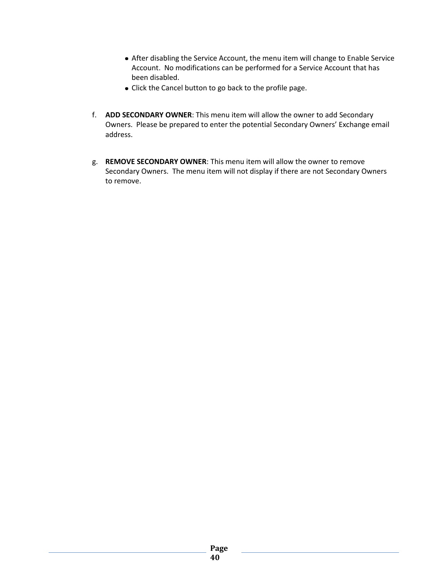- After disabling the Service Account, the menu item will change to Enable Service Account. No modifications can be performed for a Service Account that has been disabled.
- Click the Cancel button to go back to the profile page.
- f. **ADD SECONDARY OWNER**: This menu item will allow the owner to add Secondary Owners. Please be prepared to enter the potential Secondary Owners' Exchange email address.
- g. **REMOVE SECONDARY OWNER**: This menu item will allow the owner to remove Secondary Owners. The menu item will not display if there are not Secondary Owners to remove.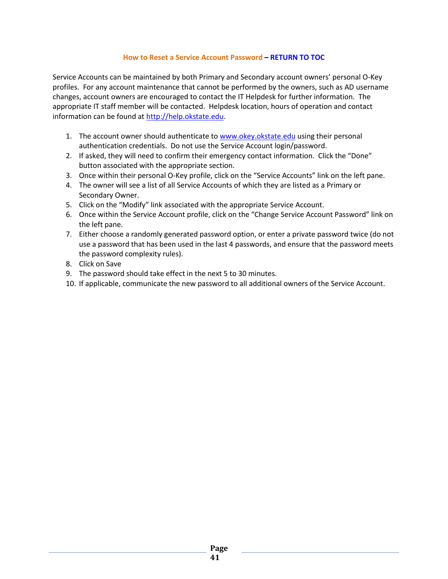#### **How to Reset a Service Account Password – [RETURN TO TOC](#page-1-0)**

<span id="page-40-0"></span>Service Accounts can be maintained by both Primary and Secondary account owners' personal O-Key profiles. For any account maintenance that cannot be performed by the owners, such as AD username changes, account owners are encouraged to contact the IT Helpdesk for further information. The appropriate IT staff member will be contacted. Helpdesk location, hours of operation and contact information can be found at [http://help.okstate.edu.](http://help.okstate.edu/)

- 1. The account owner should authenticate to [www.okey.okstate.edu](http://www.okey.okstate.edu/) using their personal authentication credentials. Do not use the Service Account login/password.
- 2. If asked, they will need to confirm their emergency contact information. Click the "Done" button associated with the appropriate section.
- 3. Once within their personal O-Key profile, click on the "Service Accounts" link on the left pane.
- 4. The owner will see a list of all Service Accounts of which they are listed as a Primary or Secondary Owner.
- 5. Click on the "Modify" link associated with the appropriate Service Account.
- 6. Once within the Service Account profile, click on the "Change Service Account Password" link on the left pane.
- 7. Either choose a randomly generated password option, or enter a private password twice (do not use a password that has been used in the last 4 passwords, and ensure that the password meets the password complexity rules).
- 8. Click on Save
- 9. The password should take effect in the next 5 to 30 minutes.
- 10. If applicable, communicate the new password to all additional owners of the Service Account.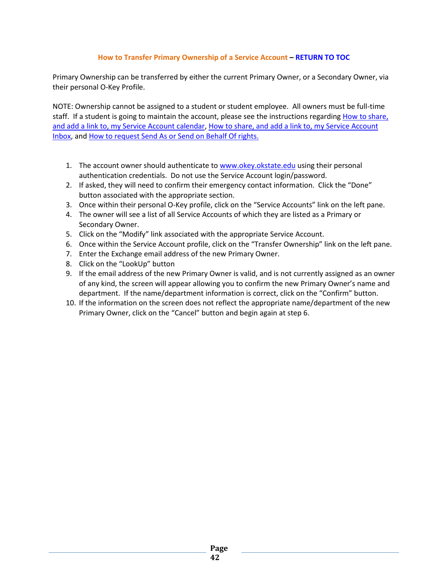# **How to Transfer Primary Ownership of a Service Account – [RETURN TO TOC](#page-1-0)**

<span id="page-41-0"></span>Primary Ownership can be transferred by either the current Primary Owner, or a Secondary Owner, via their personal O-Key Profile.

NOTE: Ownership cannot be assigned to a student or student employee. All owners must be full-time staff. If a student is going to maintain the account, please see the instructions regarding How to share, [and add a link to, my Service Account calendar,](Share_And_Link_SA_Calendar.docx) [How to share, and add a link to, my Service Account](Share_And_Link_SA_Inbox.docx)  [Inbox,](Share_And_Link_SA_Inbox.docx) an[d How to request Send As or Send on Behalf Of rights.](SendAs_SendOnBehalfOf.docx)

- 1. The account owner should authenticate to [www.okey.okstate.edu](http://www.okey.okstate.edu/) using their personal authentication credentials. Do not use the Service Account login/password.
- 2. If asked, they will need to confirm their emergency contact information. Click the "Done" button associated with the appropriate section.
- 3. Once within their personal O-Key profile, click on the "Service Accounts" link on the left pane.
- 4. The owner will see a list of all Service Accounts of which they are listed as a Primary or Secondary Owner.
- 5. Click on the "Modify" link associated with the appropriate Service Account.
- 6. Once within the Service Account profile, click on the "Transfer Ownership" link on the left pane.
- 7. Enter the Exchange email address of the new Primary Owner.
- 8. Click on the "LookUp" button
- 9. If the email address of the new Primary Owner is valid, and is not currently assigned as an owner of any kind, the screen will appear allowing you to confirm the new Primary Owner's name and department. If the name/department information is correct, click on the "Confirm" button.
- 10. If the information on the screen does not reflect the appropriate name/department of the new Primary Owner, click on the "Cancel" button and begin again at step 6.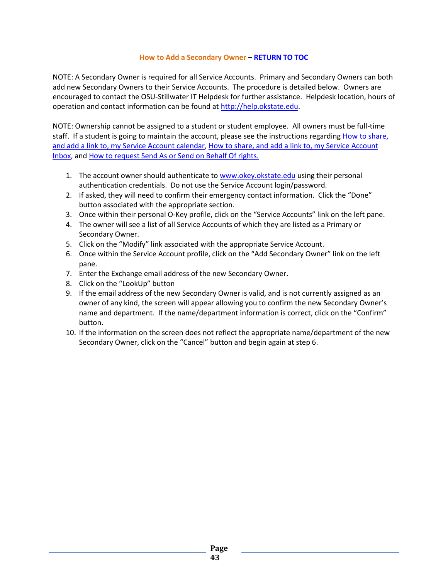#### **How to Add a Secondary Owner – [RETURN TO](#page-1-0) TOC**

<span id="page-42-0"></span>NOTE: A Secondary Owner is required for all Service Accounts. Primary and Secondary Owners can both add new Secondary Owners to their Service Accounts. The procedure is detailed below. Owners are encouraged to contact the OSU-Stillwater IT Helpdesk for further assistance. Helpdesk location, hours of operation and contact information can be found a[t http://help.okstate.edu.](http://help.okstate.edu/)

NOTE: Ownership cannot be assigned to a student or student employee. All owners must be full-time staff. If a student is going to maintain the account, please see the instructions regarding How to share, [and add a link to, my Service Account calendar,](Share_And_Link_SA_Calendar.docx) [How to share, and add a link to, my Service Account](Share_And_Link_SA_Inbox.docx)  [Inbox,](Share_And_Link_SA_Inbox.docx) an[d How to request Send As or Send on Behalf Of rights.](SendAs_SendOnBehalfOf.docx)

- 1. The account owner should authenticate to [www.okey.okstate.edu](http://www.okey.okstate.edu/) using their personal authentication credentials. Do not use the Service Account login/password.
- 2. If asked, they will need to confirm their emergency contact information. Click the "Done" button associated with the appropriate section.
- 3. Once within their personal O-Key profile, click on the "Service Accounts" link on the left pane.
- 4. The owner will see a list of all Service Accounts of which they are listed as a Primary or Secondary Owner.
- 5. Click on the "Modify" link associated with the appropriate Service Account.
- 6. Once within the Service Account profile, click on the "Add Secondary Owner" link on the left pane.
- 7. Enter the Exchange email address of the new Secondary Owner.
- 8. Click on the "LookUp" button
- 9. If the email address of the new Secondary Owner is valid, and is not currently assigned as an owner of any kind, the screen will appear allowing you to confirm the new Secondary Owner's name and department. If the name/department information is correct, click on the "Confirm" button.
- 10. If the information on the screen does not reflect the appropriate name/department of the new Secondary Owner, click on the "Cancel" button and begin again at step 6.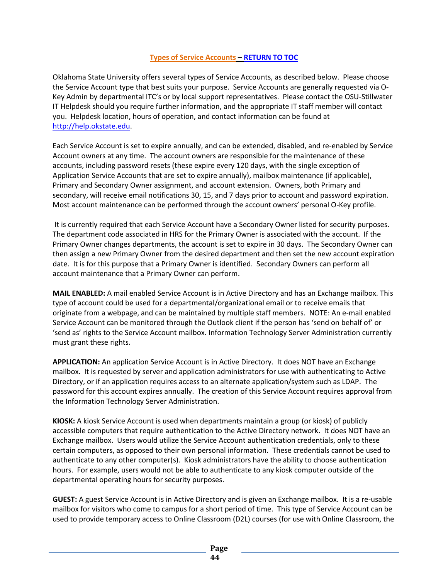# **Types of Service Accounts – [RETURN TO](#page-1-0) TOC**

<span id="page-43-0"></span>Oklahoma State University offers several types of Service Accounts, as described below. Please choose the Service Account type that best suits your purpose. Service Accounts are generally requested via O-Key Admin by departmental ITC's or by local support representatives. Please contact the OSU-Stillwater IT Helpdesk should you require further information, and the appropriate IT staff member will contact you. Helpdesk location, hours of operation, and contact information can be found at [http://help.okstate.edu.](http://help.okstate.edu/)

Each Service Account is set to expire annually, and can be extended, disabled, and re-enabled by Service Account owners at any time. The account owners are responsible for the maintenance of these accounts, including password resets (these expire every 120 days, with the single exception of Application Service Accounts that are set to expire annually), mailbox maintenance (if applicable), Primary and Secondary Owner assignment, and account extension. Owners, both Primary and secondary, will receive email notifications 30, 15, and 7 days prior to account and password expiration. Most account maintenance can be performed through the account owners' personal O-Key profile.

It is currently required that each Service Account have a Secondary Owner listed for security purposes. The department code associated in HRS for the Primary Owner is associated with the account. If the Primary Owner changes departments, the account is set to expire in 30 days. The Secondary Owner can then assign a new Primary Owner from the desired department and then set the new account expiration date. It is for this purpose that a Primary Owner is identified. Secondary Owners can perform all account maintenance that a Primary Owner can perform.

**MAIL ENABLED:** A mail enabled Service Account is in Active Directory and has an Exchange mailbox. This type of account could be used for a departmental/organizational email or to receive emails that originate from a webpage, and can be maintained by multiple staff members. NOTE: An e-mail enabled Service Account can be monitored through the Outlook client if the person has 'send on behalf of' or 'send as' rights to the Service Account mailbox. Information Technology Server Administration currently must grant these rights.

**APPLICATION:** An application Service Account is in Active Directory. It does NOT have an Exchange mailbox. It is requested by server and application administrators for use with authenticating to Active Directory, or if an application requires access to an alternate application/system such as LDAP. The password for this account expires annually. The creation of this Service Account requires approval from the Information Technology Server Administration.

**KIOSK:** A kiosk Service Account is used when departments maintain a group (or kiosk) of publicly accessible computers that require authentication to the Active Directory network. It does NOT have an Exchange mailbox. Users would utilize the Service Account authentication credentials, only to these certain computers, as opposed to their own personal information. These credentials cannot be used to authenticate to any other computer(s). Kiosk administrators have the ability to choose authentication hours. For example, users would not be able to authenticate to any kiosk computer outside of the departmental operating hours for security purposes.

**GUEST:** A guest Service Account is in Active Directory and is given an Exchange mailbox. It is a re-usable mailbox for visitors who come to campus for a short period of time. This type of Service Account can be used to provide temporary access to Online Classroom (D2L) courses (for use with Online Classroom, the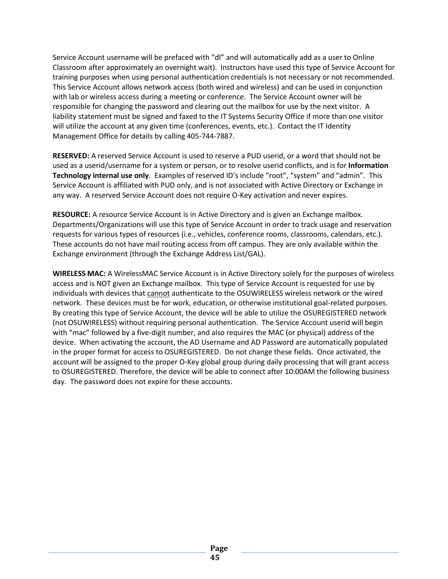Service Account username will be prefaced with "dl" and will automatically add as a user to Online Classroom after approximately an overnight wait). Instructors have used this type of Service Account for training purposes when using personal authentication credentials is not necessary or not recommended. This Service Account allows network access (both wired and wireless) and can be used in conjunction with lab or wireless access during a meeting or conference. The Service Account owner will be responsible for changing the password and clearing out the mailbox for use by the next visitor. A liability statement must be signed and faxed to the IT Systems Security Office if more than one visitor will utilize the account at any given time (conferences, events, etc.). Contact the IT Identity Management Office for details by calling 405-744-7887.

**RESERVED:** A reserved Service Account is used to reserve a PUD userid, or a word that should not be used as a userid/username for a system or person, or to resolve userid conflicts, and is for **Information Technology internal use only**. Examples of reserved ID's include "root", "system" and "admin". This Service Account is affiliated with PUD only, and is not associated with Active Directory or Exchange in any way. A reserved Service Account does not require O-Key activation and never expires.

**RESOURCE:** A resource Service Account is in Active Directory and is given an Exchange mailbox. Departments/Organizations will use this type of Service Account in order to track usage and reservation requests for various types of resources (i.e., vehicles, conference rooms, classrooms, calendars, etc.). These accounts do not have mail routing access from off campus. They are only available within the Exchange environment (through the Exchange Address List/GAL).

**WIRELESS MAC:** A WirelessMAC Service Account is in Active Directory solely for the purposes of wireless access and is NOT given an Exchange mailbox. This type of Service Account is requested for use by individuals with devices that cannot authenticate to the OSUWIRELESS wireless network or the wired network. These devices must be for work, education, or otherwise institutional goal-related purposes. By creating this type of Service Account, the device will be able to utilize the OSUREGISTERED network (not OSUWIRELESS) without requiring personal authentication. The Service Account userid will begin with "mac" followed by a five-digit number, and also requires the MAC (or physical) address of the device. When activating the account, the AD Username and AD Password are automatically populated in the proper format for access to OSUREGISTERED. Do not change these fields. Once activated, the account will be assigned to the proper O-Key global group during daily processing that will grant access to OSUREGISTERED. Therefore, the device will be able to connect after 10:00AM the following business day. The password does not expire for these accounts.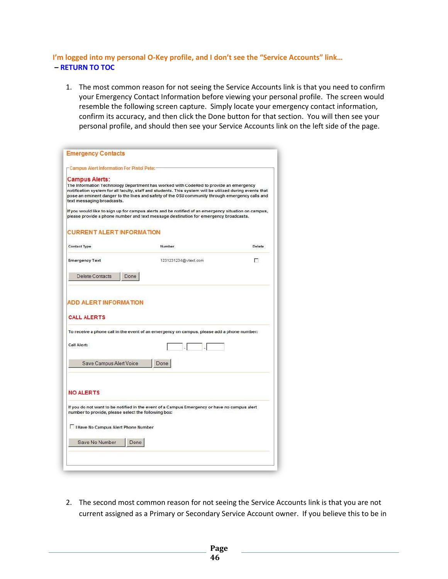# <span id="page-45-0"></span>**I'm logged into my personal O-Key profile, and I don't see the "Service Accounts" link… – [RETURN TO TOC](#page-1-0)**

1. The most common reason for not seeing the Service Accounts link is that you need to confirm your Emergency Contact Information before viewing your personal profile. The screen would resemble the following screen capture. Simply locate your emergency contact information, confirm its accuracy, and then click the Done button for that section. You will then see your personal profile, and should then see your Service Accounts link on the left side of the page.

| Campus Alert Information For Pistol Pete:             |                                                                                                                                                                                                                                                                                                      |        |
|-------------------------------------------------------|------------------------------------------------------------------------------------------------------------------------------------------------------------------------------------------------------------------------------------------------------------------------------------------------------|--------|
| <b>Campus Alerts:</b><br>text messaging broadcasts.   | The Information Technology Department has worked with CodeRed to provide an emergency<br>notification system for all faculty, staff and students. This system will be utilized during events that<br>pose an eminent danger to the lives and safety of the OSU community through emergency calls and |        |
|                                                       | If you would like to sign up for campus alerts and be notified of an emergency situation on campus,<br>please provide a phone number and text message destination for emergency broadcasts.                                                                                                          |        |
| <b>CURRENT ALERT INFORMATION</b>                      |                                                                                                                                                                                                                                                                                                      |        |
| <b>Contact Type</b>                                   | Number                                                                                                                                                                                                                                                                                               | Delete |
| <b>Emergency Text</b>                                 | 1231231234@vtext.com                                                                                                                                                                                                                                                                                 | г      |
|                                                       |                                                                                                                                                                                                                                                                                                      |        |
| Delete Contacts                                       | Done                                                                                                                                                                                                                                                                                                 |        |
|                                                       | To receive a phone call in the event of an emergency on campus, please add a phone number:                                                                                                                                                                                                           |        |
|                                                       |                                                                                                                                                                                                                                                                                                      |        |
| Save Campus Alert Voice                               | Done                                                                                                                                                                                                                                                                                                 |        |
| <b>CALL ALERTS</b><br>Call Alert:<br><b>NO ALERTS</b> |                                                                                                                                                                                                                                                                                                      |        |
| I Have No Campus Alert Phone Number                   | If you do not want to be notified in the event of a Campus Emergency or have no campus alert<br>number to provide, please select the following box:                                                                                                                                                  |        |
| <b>ADD ALERT INFORMATION</b><br>Save No Number        | Done                                                                                                                                                                                                                                                                                                 |        |

2. The second most common reason for not seeing the Service Accounts link is that you are not current assigned as a Primary or Secondary Service Account owner. If you believe this to be in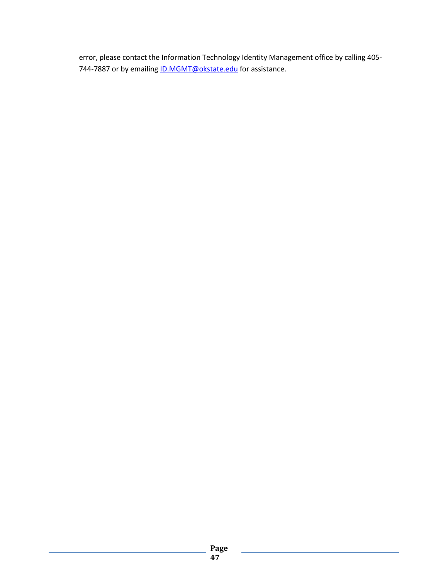error, please contact the Information Technology Identity Management office by calling 405- 744-7887 or by emailing **ID.MGMT@okstate.edu** for assistance.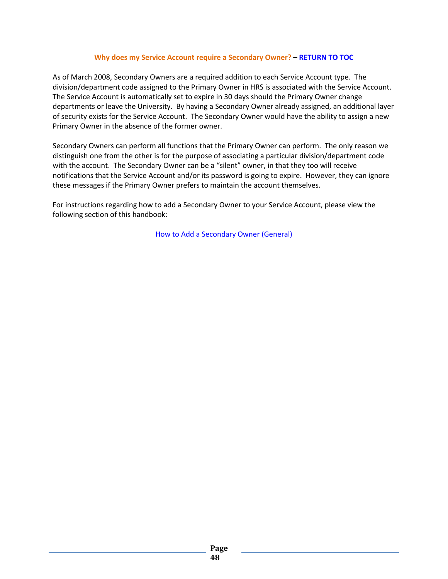#### **Why does my Service Account require a Secondary Owner? – [RETURN TO TOC](#page-1-0)**

<span id="page-47-0"></span>As of March 2008, Secondary Owners are a required addition to each Service Account type. The division/department code assigned to the Primary Owner in HRS is associated with the Service Account. The Service Account is automatically set to expire in 30 days should the Primary Owner change departments or leave the University. By having a Secondary Owner already assigned, an additional layer of security exists for the Service Account. The Secondary Owner would have the ability to assign a new Primary Owner in the absence of the former owner.

Secondary Owners can perform all functions that the Primary Owner can perform. The only reason we distinguish one from the other is for the purpose of associating a particular division/department code with the account. The Secondary Owner can be a "silent" owner, in that they too will receive notifications that the Service Account and/or its password is going to expire. However, they can ignore these messages if the Primary Owner prefers to maintain the account themselves.

For instructions regarding how to add a Secondary Owner to your Service Account, please view the following section of this handbook:

[How to Add a Secondary Owner](#page-42-0) (General)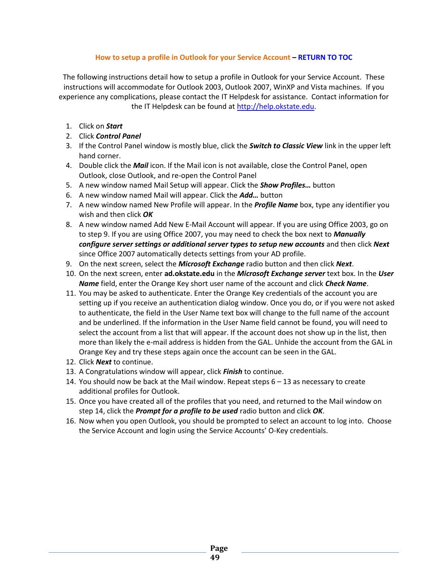# **How to setup a profile in Outlook for your Service Account – [RETURN TO TOC](#page-1-0)**

<span id="page-48-0"></span>The following instructions detail how to setup a profile in Outlook for your Service Account. These instructions will accommodate for Outlook 2003, Outlook 2007, WinXP and Vista machines. If you experience any complications, please contact the IT Helpdesk for assistance. Contact information for the IT Helpdesk can be found at [http://help.okstate.edu.](http://help.okstate.edu/)

- 1. Click on *Start*
- 2. Click *Control Panel*
- 3. If the Control Panel window is mostly blue, click the *Switch to Classic View* link in the upper left hand corner.
- 4. Double click the *Mail* icon. If the Mail icon is not available, close the Control Panel, open Outlook, close Outlook, and re-open the Control Panel
- 5. A new window named Mail Setup will appear. Click the *Show Profiles…* button
- 6. A new window named Mail will appear. Click the *Add…* button
- 7. A new window named New Profile will appear. In the *Profile Name* box, type any identifier you wish and then click *OK*
- 8. A new window named Add New E-Mail Account will appear. If you are using Office 2003, go on to step 9. If you are using Office 2007, you may need to check the box next to *Manually configure server settings or additional server types to setup new accounts* and then click *Next* since Office 2007 automatically detects settings from your AD profile.
- 9. On the next screen, select the *Microsoft Exchange* radio button and then click *Next*.
- 10. On the next screen, enter **ad.okstate.edu** in the *Microsoft Exchange server* text box. In the *User Name* field, enter the Orange Key short user name of the account and click *Check Name*.
- 11. You may be asked to authenticate. Enter the Orange Key credentials of the account you are setting up if you receive an authentication dialog window. Once you do, or if you were not asked to authenticate, the field in the User Name text box will change to the full name of the account and be underlined. If the information in the User Name field cannot be found, you will need to select the account from a list that will appear. If the account does not show up in the list, then more than likely the e-mail address is hidden from the GAL. Unhide the account from the GAL in Orange Key and try these steps again once the account can be seen in the GAL.
- 12. Click *Next* to continue.
- 13. A Congratulations window will appear, click *Finish* to continue.
- 14. You should now be back at the Mail window. Repeat steps 6 13 as necessary to create additional profiles for Outlook.
- 15. Once you have created all of the profiles that you need, and returned to the Mail window on step 14, click the *Prompt for a profile to be used* radio button and click *OK*.
- 16. Now when you open Outlook, you should be prompted to select an account to log into. Choose the Service Account and login using the Service Accounts' O-Key credentials.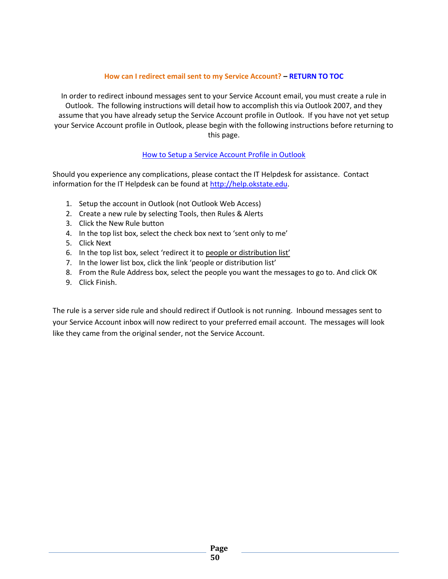# **How can I redirect email sent to my Service Account? – [RETURN TO TOC](#page-1-0)**

<span id="page-49-0"></span>In order to redirect inbound messages sent to your Service Account email, you must create a rule in Outlook. The following instructions will detail how to accomplish this via Outlook 2007, and they assume that you have already setup the Service Account profile in Outlook. If you have not yet setup your Service Account profile in Outlook, please begin with the following instructions before returning to this page.

# [How to Setup a Service Account](#page-48-0) Profile in Outlook

Should you experience any complications, please contact the IT Helpdesk for assistance. Contact information for the IT Helpdesk can be found at [http://help.okstate.edu.](http://help.okstate.edu/)

- 1. Setup the account in Outlook (not Outlook Web Access)
- 2. Create a new rule by selecting Tools, then Rules & Alerts
- 3. Click the New Rule button
- 4. In the top list box, select the check box next to 'sent only to me'
- 5. Click Next
- 6. In the top list box, select 'redirect it to people or distribution list'
- 7. In the lower list box, click the link 'people or distribution list'
- 8. From the Rule Address box, select the people you want the messages to go to. And click OK
- 9. Click Finish.

The rule is a server side rule and should redirect if Outlook is not running. Inbound messages sent to your Service Account inbox will now redirect to your preferred email account. The messages will look like they came from the original sender, not the Service Account.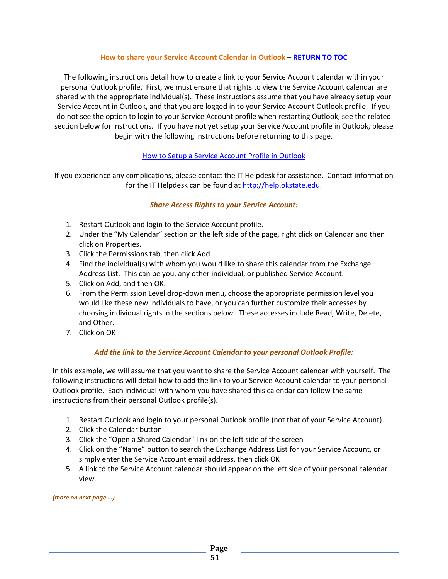#### **How to share your Service Account Calendar in Outlook – [RETURN TO TOC](#page-1-0)**

<span id="page-50-0"></span>The following instructions detail how to create a link to your Service Account calendar within your personal Outlook profile. First, we must ensure that rights to view the Service Account calendar are shared with the appropriate individual(s). These instructions assume that you have already setup your Service Account in Outlook, and that you are logged in to your Service Account Outlook profile. If you do not see the option to login to your Service Account profile when restarting Outlook, see the related section below for instructions. If you have not yet setup your Service Account profile in Outlook, please begin with the following instructions before returning to this page.

# [How to Setup a Service Account](#page-48-0) Profile in Outlook

If you experience any complications, please contact the IT Helpdesk for assistance. Contact information for the IT Helpdesk can be found a[t http://help.okstate.edu.](http://help.okstate.edu/)

# *Share Access Rights to your Service Account:*

- 1. Restart Outlook and login to the Service Account profile.
- 2. Under the "My Calendar" section on the left side of the page, right click on Calendar and then click on Properties.
- 3. Click the Permissions tab, then click Add
- 4. Find the individual(s) with whom you would like to share this calendar from the Exchange Address List. This can be you, any other individual, or published Service Account.
- 5. Click on Add, and then OK.
- 6. From the Permission Level drop-down menu, choose the appropriate permission level you would like these new individuals to have, or you can further customize their accesses by choosing individual rights in the sections below. These accesses include Read, Write, Delete, and Other.
- 7. Click on OK

# *Add the link to the Service Account Calendar to your personal Outlook Profile:*

In this example, we will assume that you want to share the Service Account calendar with yourself. The following instructions will detail how to add the link to your Service Account calendar to your personal Outlook profile. Each individual with whom you have shared this calendar can follow the same instructions from their personal Outlook profile(s).

- 1. Restart Outlook and login to your personal Outlook profile (not that of your Service Account).
- 2. Click the Calendar button
- 3. Click the "Open a Shared Calendar" link on the left side of the screen
- 4. Click on the "Name" button to search the Exchange Address List for your Service Account, or simply enter the Service Account email address, then click OK
- 5. A link to the Service Account calendar should appear on the left side of your personal calendar view.

*(more on next page….)*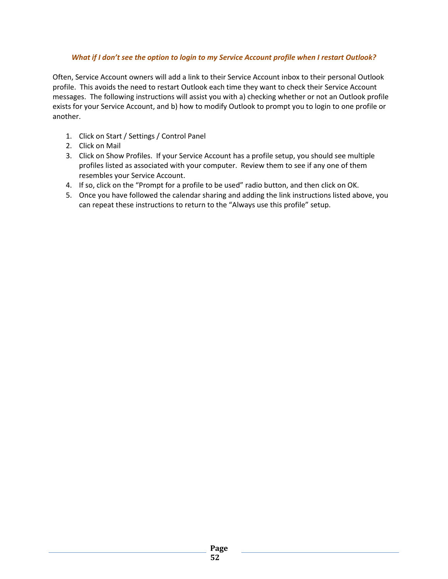# *What if I don't see the option to login to my Service Account profile when I restart Outlook?*

Often, Service Account owners will add a link to their Service Account inbox to their personal Outlook profile. This avoids the need to restart Outlook each time they want to check their Service Account messages. The following instructions will assist you with a) checking whether or not an Outlook profile exists for your Service Account, and b) how to modify Outlook to prompt you to login to one profile or another.

- 1. Click on Start / Settings / Control Panel
- 2. Click on Mail
- 3. Click on Show Profiles. If your Service Account has a profile setup, you should see multiple profiles listed as associated with your computer. Review them to see if any one of them resembles your Service Account.
- 4. If so, click on the "Prompt for a profile to be used" radio button, and then click on OK.
- 5. Once you have followed the calendar sharing and adding the link instructions listed above, you can repeat these instructions to return to the "Always use this profile" setup.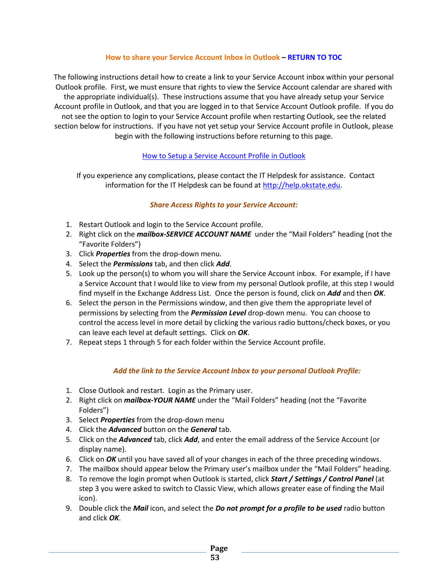#### **How to share your Service Account Inbox in Outlook – [RETURN TO TOC](#page-1-0)**

<span id="page-52-0"></span>The following instructions detail how to create a link to your Service Account inbox within your personal Outlook profile. First, we must ensure that rights to view the Service Account calendar are shared with the appropriate individual(s). These instructions assume that you have already setup your Service Account profile in Outlook, and that you are logged in to that Service Account Outlook profile. If you do not see the option to login to your Service Account profile when restarting Outlook, see the related section below for instructions. If you have not yet setup your Service Account profile in Outlook, please begin with the following instructions before returning to this page.

# [How to Setup a Service Account](#page-48-0) Profile in Outlook

 If you experience any complications, please contact the IT Helpdesk for assistance. Contact information for the IT Helpdesk can be found at [http://help.okstate.edu.](http://help.okstate.edu/)

#### *Share Access Rights to your Service Account:*

- 1. Restart Outlook and login to the Service Account profile.
- 2. Right click on the *mailbox-SERVICE ACCOUNT NAME* under the "Mail Folders" heading (not the "Favorite Folders")
- 3. Click *Properties* from the drop-down menu.
- 4. Select the *Permissions* tab, and then click *Add*.
- 5. Look up the person(s) to whom you will share the Service Account inbox. For example, if I have a Service Account that I would like to view from my personal Outlook profile, at this step I would find myself in the Exchange Address List. Once the person is found, click on *Add* and then *OK*.
- 6. Select the person in the Permissions window, and then give them the appropriate level of permissions by selecting from the *Permission Level* drop-down menu. You can choose to control the access level in more detail by clicking the various radio buttons/check boxes, or you can leave each level at default settings. Click on *OK*.
- 7. Repeat steps 1 through 5 for each folder within the Service Account profile.

# *Add the link to the Service Account Inbox to your personal Outlook Profile:*

- 1. Close Outlook and restart. Login as the Primary user.
- 2. Right click on *mailbox-YOUR NAME* under the "Mail Folders" heading (not the "Favorite Folders")
- 3. Select *Properties* from the drop-down menu
- 4. Click the *Advanced* button on the *General* tab.
- 5. Click on the *Advanced* tab, click *Add*, and enter the email address of the Service Account (or display name).
- 6. Click on *OK* until you have saved all of your changes in each of the three preceding windows.
- 7. The mailbox should appear below the Primary user's mailbox under the "Mail Folders" heading.
- 8. To remove the login prompt when Outlook is started, click *Start / Settings / Control Panel* (at step 3 you were asked to switch to Classic View, which allows greater ease of finding the Mail icon).
- 9. Double click the *Mail* icon, and select the *Do not prompt for a profile to be used* radio button and click *OK*.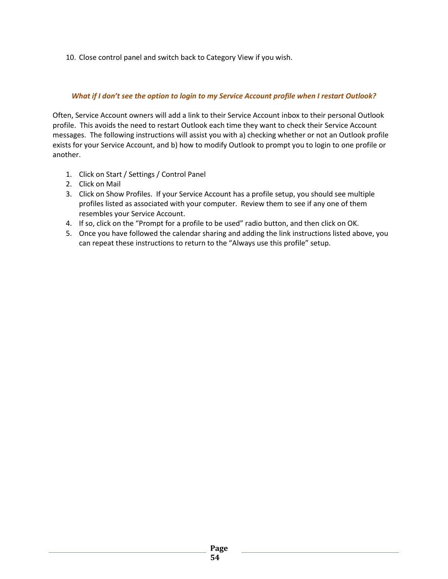10. Close control panel and switch back to Category View if you wish.

#### *What if I don't see the option to login to my Service Account profile when I restart Outlook?*

Often, Service Account owners will add a link to their Service Account inbox to their personal Outlook profile. This avoids the need to restart Outlook each time they want to check their Service Account messages. The following instructions will assist you with a) checking whether or not an Outlook profile exists for your Service Account, and b) how to modify Outlook to prompt you to login to one profile or another.

- 1. Click on Start / Settings / Control Panel
- 2. Click on Mail
- 3. Click on Show Profiles. If your Service Account has a profile setup, you should see multiple profiles listed as associated with your computer. Review them to see if any one of them resembles your Service Account.
- 4. If so, click on the "Prompt for a profile to be used" radio button, and then click on OK.
- 5. Once you have followed the calendar sharing and adding the link instructions listed above, you can repeat these instructions to return to the "Always use this profile" setup.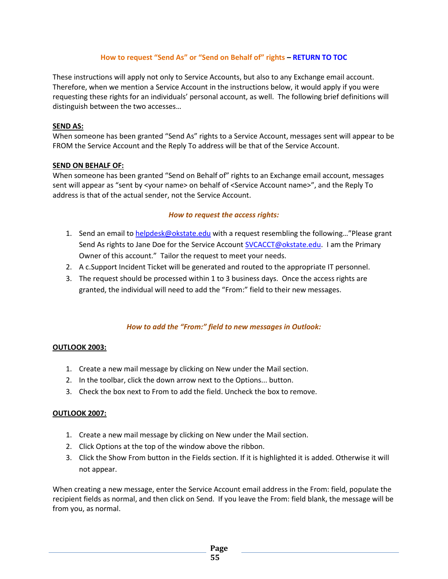# **How to request "Send As" or "Send on Behalf of" rights – [RETURN TO TOC](#page-1-0)**

<span id="page-54-0"></span>These instructions will apply not only to Service Accounts, but also to any Exchange email account. Therefore, when we mention a Service Account in the instructions below, it would apply if you were requesting these rights for an individuals' personal account, as well. The following brief definitions will distinguish between the two accesses…

#### **SEND AS:**

When someone has been granted "Send As" rights to a Service Account, messages sent will appear to be FROM the Service Account and the Reply To address will be that of the Service Account.

#### **SEND ON BEHALF OF:**

When someone has been granted "Send on Behalf of" rights to an Exchange email account, messages sent will appear as "sent by <your name> on behalf of <Service Account name>", and the Reply To address is that of the actual sender, not the Service Account.

# *How to request the access rights:*

- 1. Send an email to [helpdesk@okstate.edu](mailto:helpdesk@okstate.edu) with a request resembling the following..."Please grant Send As rights to Jane Doe for the Service Account [SVCACCT@okstate.edu.](mailto:SVCACCT@okstate.edu) I am the Primary Owner of this account." Tailor the request to meet your needs.
- 2. A c.Support Incident Ticket will be generated and routed to the appropriate IT personnel.
- 3. The request should be processed within 1 to 3 business days. Once the access rights are granted, the individual will need to add the "From:" field to their new messages.

# *How to add the "From:" field to new messages in Outlook:*

#### **OUTLOOK 2003:**

- 1. Create a new mail message by clicking on New under the Mail section.
- 2. In the toolbar, click the down arrow next to the Options... button.
- 3. Check the box next to From to add the field. Uncheck the box to remove.

#### **OUTLOOK 2007:**

- 1. Create a new mail message by clicking on New under the Mail section.
- 2. Click Options at the top of the window above the ribbon.
- 3. Click the Show From button in the Fields section. If it is highlighted it is added. Otherwise it will not appear.

When creating a new message, enter the Service Account email address in the From: field, populate the recipient fields as normal, and then click on Send. If you leave the From: field blank, the message will be from you, as normal.